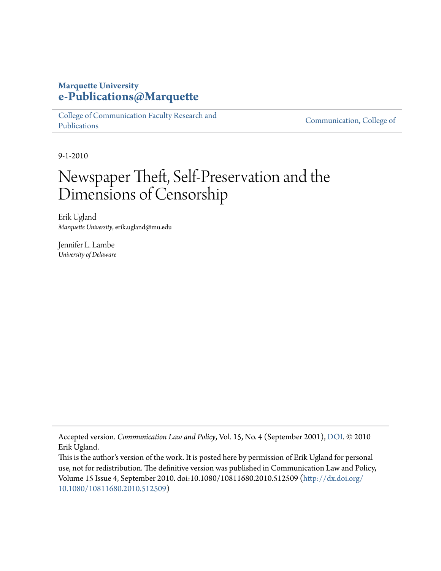#### **Marquette University [e-Publications@Marquette](https://epublications.marquette.edu)**

[College of Communication Faculty Research and](https://epublications.marquette.edu/comm_fac) [Publications](https://epublications.marquette.edu/comm_fac)

[Communication, College of](https://epublications.marquette.edu/communication)

9-1-2010

# Newspaper Theft, Self-Preservation and the Dimensions of Censorship

Erik Ugland *Marquette University*, erik.ugland@mu.edu

Jennifer L. Lambe *University of Delaware*

Accepted version. *Communication Law and Policy*, Vol. 15, No. 4 (September 2001), [DOI](http://dx.doi.org/10.1080/10811680.2010.512509). © 2010 Erik Ugland.

This is the author's version of the work. It is posted here by permission of Erik Ugland for personal use, not for redistribution. The definitive version was published in Communication Law and Policy, Volume 15 Issue 4, September 2010. doi:10.1080/10811680.2010.512509 [\(http://dx.doi.org/](http://dx.doi.org/10.1080/10811680.2010.512509) [10.1080/10811680.2010.512509\)](http://dx.doi.org/10.1080/10811680.2010.512509)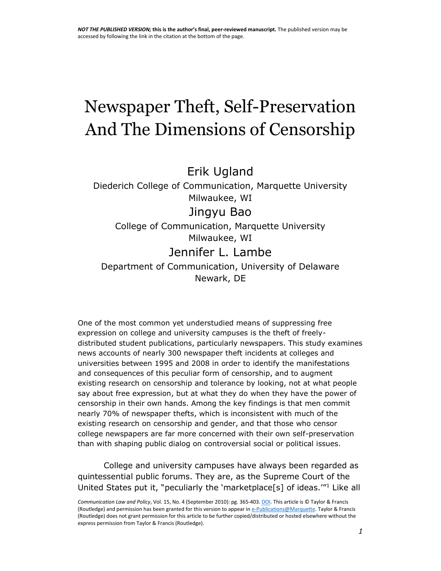# Newspaper Theft, Self-Preservation And The Dimensions of Censorship

Erik Ugland

Diederich College of Communication, Marquette University Milwaukee, WI Jingyu Bao

College of Communication, Marquette University Milwaukee, WI

## Jennifer L. Lambe

Department of Communication, University of Delaware Newark, DE

One of the most common yet understudied means of suppressing free expression on college and university campuses is the theft of freelydistributed student publications, particularly newspapers. This study examines news accounts of nearly 300 newspaper theft incidents at colleges and universities between 1995 and 2008 in order to identify the manifestations and consequences of this peculiar form of censorship, and to augment existing research on censorship and tolerance by looking, not at what people say about free expression, but at what they do when they have the power of censorship in their own hands. Among the key findings is that men commit nearly 70% of newspaper thefts, which is inconsistent with much of the existing research on censorship and gender, and that those who censor college newspapers are far more concerned with their own self-preservation than with shaping public dialog on controversial social or political issues.

College and university campuses have always been regarded as quintessential public forums. They are, as the Supreme Court of the United States put it, "peculiarly the 'marketplace[s] of ideas.'"<sup>1</sup> Like all

*Communication Law and Policy*, Vol. 15, No. 4 (September 2010): pg. 365-403[. DOI.](http://dx.doi.org/10.1080/10811680.2010.512509) This article is © Taylor & Francis (Routledge) and permission has been granted for this version to appear i[n e-Publications@Marquette.](http://epublications.marquette.edu/) Taylor & Francis (Routledge) does not grant permission for this article to be further copied/distributed or hosted elsewhere without the express permission from Taylor & Francis (Routledge).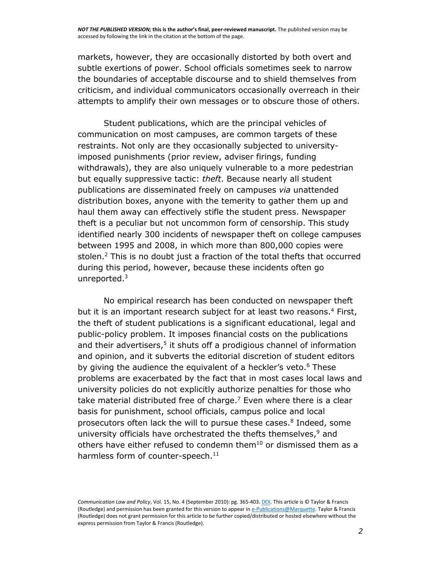*NOT THE PUBLISHED VERSION;* **this is the author's final, peer-reviewed manuscript.** The published version may be accessed by following the link in the citation at the bottom of the page.

markets, however, they are occasionally distorted by both overt and subtle exertions of power. School officials sometimes seek to narrow the boundaries of acceptable discourse and to shield themselves from criticism, and individual communicators occasionally overreach in their attempts to amplify their own messages or to obscure those of others.

Student publications, which are the principal vehicles of communication on most campuses, are common targets of these restraints. Not only are they occasionally subjected to universityimposed punishments (prior review, adviser firings, funding withdrawals), they are also uniquely vulnerable to a more pedestrian but equally suppressive tactic: *theft*. Because nearly all student publications are disseminated freely on campuses *via* unattended distribution boxes, anyone with the temerity to gather them up and haul them away can effectively stifle the student press. Newspaper theft is a peculiar but not uncommon form of censorship. This study identified nearly 300 incidents of newspaper theft on college campuses between 1995 and 2008, in which more than 800,000 copies were stolen.<sup>2</sup> This is no doubt just a fraction of the total thefts that occurred during this period, however, because these incidents often go unreported.<sup>3</sup>

No empirical research has been conducted on newspaper theft but it is an important research subject for at least two reasons.<sup>4</sup> First, the theft of student publications is a significant educational, legal and public-policy problem. It imposes financial costs on the publications and their advertisers,<sup>5</sup> it shuts off a prodigious channel of information and opinion, and it subverts the editorial discretion of student editors by giving the audience the equivalent of a heckler's veto.<sup>6</sup> These problems are exacerbated by the fact that in most cases local laws and university policies do not explicitly authorize penalties for those who take material distributed free of charge.<sup>7</sup> Even where there is a clear basis for punishment, school officials, campus police and local prosecutors often lack the will to pursue these cases.<sup>8</sup> Indeed, some university officials have orchestrated the thefts themselves, $9$  and others have either refused to condemn them $10$  or dismissed them as a harmless form of counter-speech.<sup>11</sup>

*Communication Law and Policy*, Vol. 15, No. 4 (September 2010): pg. 365-403[. DOI.](http://dx.doi.org/10.1080/10811680.2010.512509) This article is © Taylor & Francis (Routledge) and permission has been granted for this version to appear i[n e-Publications@Marquette.](http://epublications.marquette.edu/) Taylor & Francis (Routledge) does not grant permission for this article to be further copied/distributed or hosted elsewhere without the express permission from Taylor & Francis (Routledge).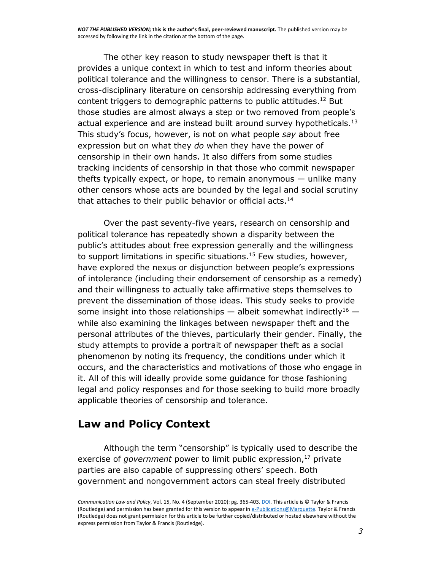The other key reason to study newspaper theft is that it provides a unique context in which to test and inform theories about political tolerance and the willingness to censor. There is a substantial, cross-disciplinary literature on censorship addressing everything from content triggers to demographic patterns to public attitudes.<sup>12</sup> But those studies are almost always a step or two removed from people's actual experience and are instead built around survey hypotheticals.<sup>13</sup> This study's focus, however, is not on what people *say* about free expression but on what they *do* when they have the power of censorship in their own hands. It also differs from some studies tracking incidents of censorship in that those who commit newspaper thefts typically expect, or hope, to remain anonymous  $-$  unlike many other censors whose acts are bounded by the legal and social scrutiny that attaches to their public behavior or official acts.<sup>14</sup>

Over the past seventy-five years, research on censorship and political tolerance has repeatedly shown a disparity between the public's attitudes about free expression generally and the willingness to support limitations in specific situations.<sup>15</sup> Few studies, however, have explored the nexus or disjunction between people's expressions of intolerance (including their endorsement of censorship as a remedy) and their willingness to actually take affirmative steps themselves to prevent the dissemination of those ideas. This study seeks to provide some insight into those relationships  $-$  albeit somewhat indirectly<sup>16</sup>  $$ while also examining the linkages between newspaper theft and the personal attributes of the thieves, particularly their gender. Finally, the study attempts to provide a portrait of newspaper theft as a social phenomenon by noting its frequency, the conditions under which it occurs, and the characteristics and motivations of those who engage in it. All of this will ideally provide some guidance for those fashioning legal and policy responses and for those seeking to build more broadly applicable theories of censorship and tolerance.

#### **Law and Policy Context**

Although the term "censorship" is typically used to describe the exercise of *government* power to limit public expression,<sup>17</sup> private parties are also capable of suppressing others' speech. Both government and nongovernment actors can steal freely distributed

*Communication Law and Policy*, Vol. 15, No. 4 (September 2010): pg. 365-403[. DOI.](http://dx.doi.org/10.1080/10811680.2010.512509) This article is © Taylor & Francis (Routledge) and permission has been granted for this version to appear i[n e-Publications@Marquette.](http://epublications.marquette.edu/) Taylor & Francis (Routledge) does not grant permission for this article to be further copied/distributed or hosted elsewhere without the express permission from Taylor & Francis (Routledge).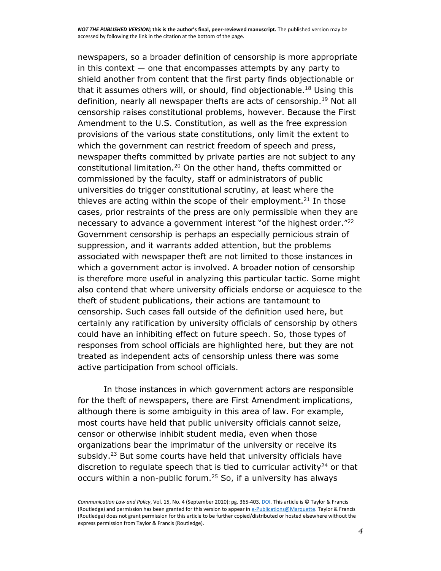newspapers, so a broader definition of censorship is more appropriate in this context  $-$  one that encompasses attempts by any party to shield another from content that the first party finds objectionable or that it assumes others will, or should, find objectionable.<sup>18</sup> Using this definition, nearly all newspaper thefts are acts of censorship.<sup>19</sup> Not all censorship raises constitutional problems, however. Because the First Amendment to the U.S. Constitution, as well as the free expression provisions of the various state constitutions, only limit the extent to which the government can restrict freedom of speech and press, newspaper thefts committed by private parties are not subject to any constitutional limitation.<sup>20</sup> On the other hand, thefts committed or commissioned by the faculty, staff or administrators of public universities do trigger constitutional scrutiny, at least where the thieves are acting within the scope of their employment.<sup>21</sup> In those cases, prior restraints of the press are only permissible when they are necessary to advance a government interest "of the highest order.<sup>"22</sup> Government censorship is perhaps an especially pernicious strain of suppression, and it warrants added attention, but the problems associated with newspaper theft are not limited to those instances in which a government actor is involved. A broader notion of censorship is therefore more useful in analyzing this particular tactic. Some might also contend that where university officials endorse or acquiesce to the theft of student publications, their actions are tantamount to censorship. Such cases fall outside of the definition used here, but certainly any ratification by university officials of censorship by others could have an inhibiting effect on future speech. So, those types of responses from school officials are highlighted here, but they are not treated as independent acts of censorship unless there was some active participation from school officials.

In those instances in which government actors are responsible for the theft of newspapers, there are First Amendment implications, although there is some ambiguity in this area of law. For example, most courts have held that public university officials cannot seize, censor or otherwise inhibit student media, even when those organizations bear the imprimatur of the university or receive its subsidy.<sup>23</sup> But some courts have held that university officials have discretion to regulate speech that is tied to curricular activity<sup>24</sup> or that occurs within a non-public forum.<sup>25</sup> So, if a university has always

*Communication Law and Policy*, Vol. 15, No. 4 (September 2010): pg. 365-403[. DOI.](http://dx.doi.org/10.1080/10811680.2010.512509) This article is © Taylor & Francis (Routledge) and permission has been granted for this version to appear i[n e-Publications@Marquette.](http://epublications.marquette.edu/) Taylor & Francis (Routledge) does not grant permission for this article to be further copied/distributed or hosted elsewhere without the express permission from Taylor & Francis (Routledge).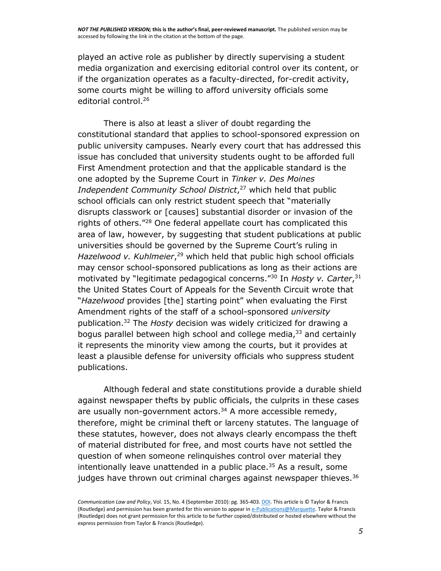played an active role as publisher by directly supervising a student media organization and exercising editorial control over its content, or if the organization operates as a faculty-directed, for-credit activity, some courts might be willing to afford university officials some editorial control.<sup>26</sup>

There is also at least a sliver of doubt regarding the constitutional standard that applies to school-sponsored expression on public university campuses. Nearly every court that has addressed this issue has concluded that university students ought to be afforded full First Amendment protection and that the applicable standard is the one adopted by the Supreme Court in *Tinker v. Des Moines Independent Community School District*, <sup>27</sup> which held that public school officials can only restrict student speech that "materially disrupts classwork or [causes] substantial disorder or invasion of the rights of others."<sup>28</sup> One federal appellate court has complicated this area of law, however, by suggesting that student publications at public universities should be governed by the Supreme Court's ruling in *Hazelwood v. Kuhlmeier*, <sup>29</sup> which held that public high school officials may censor school-sponsored publications as long as their actions are motivated by "legitimate pedagogical concerns."<sup>30</sup> In *Hosty v. Carter*, 31 the United States Court of Appeals for the Seventh Circuit wrote that "*Hazelwood* provides [the] starting point" when evaluating the First Amendment rights of the staff of a school-sponsored *university*  publication.<sup>32</sup> The *Hosty* decision was widely criticized for drawing a bogus parallel between high school and college media, $33$  and certainly it represents the minority view among the courts, but it provides at least a plausible defense for university officials who suppress student publications.

Although federal and state constitutions provide a durable shield against newspaper thefts by public officials, the culprits in these cases are usually non-government actors. $34$  A more accessible remedy, therefore, might be criminal theft or larceny statutes. The language of these statutes, however, does not always clearly encompass the theft of material distributed for free, and most courts have not settled the question of when someone relinquishes control over material they intentionally leave unattended in a public place.<sup>35</sup> As a result, some judges have thrown out criminal charges against newspaper thieves. $36$ 

*Communication Law and Policy*, Vol. 15, No. 4 (September 2010): pg. 365-403[. DOI.](http://dx.doi.org/10.1080/10811680.2010.512509) This article is © Taylor & Francis (Routledge) and permission has been granted for this version to appear i[n e-Publications@Marquette.](http://epublications.marquette.edu/) Taylor & Francis (Routledge) does not grant permission for this article to be further copied/distributed or hosted elsewhere without the express permission from Taylor & Francis (Routledge).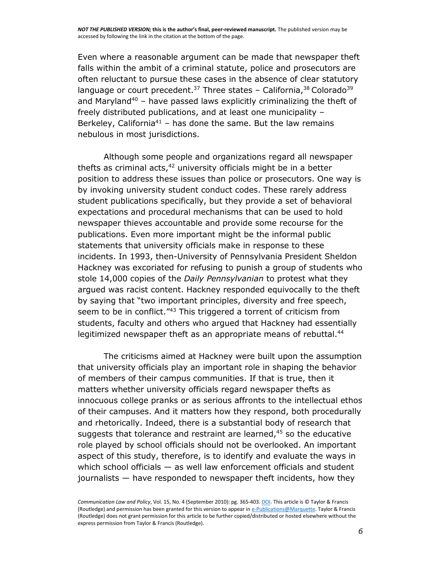Even where a reasonable argument can be made that newspaper theft falls within the ambit of a criminal statute, police and prosecutors are often reluctant to pursue these cases in the absence of clear statutory language or court precedent.<sup>37</sup> Three states  $-$  California,<sup>38</sup> Colorado<sup>39</sup> and Maryland<sup>40</sup> – have passed laws explicitly criminalizing the theft of freely distributed publications, and at least one municipality – Berkeley, California<sup>41</sup> – has done the same. But the law remains nebulous in most jurisdictions.

Although some people and organizations regard all newspaper thefts as criminal acts, $42$  university officials might be in a better position to address these issues than police or prosecutors. One way is by invoking university student conduct codes. These rarely address student publications specifically, but they provide a set of behavioral expectations and procedural mechanisms that can be used to hold newspaper thieves accountable and provide some recourse for the publications. Even more important might be the informal public statements that university officials make in response to these incidents. In 1993, then-University of Pennsylvania President Sheldon Hackney was excoriated for refusing to punish a group of students who stole 14,000 copies of the *Daily Pennsylvanian* to protest what they argued was racist content. Hackney responded equivocally to the theft by saying that "two important principles, diversity and free speech, seem to be in conflict.<sup>"43</sup> This triggered a torrent of criticism from students, faculty and others who argued that Hackney had essentially legitimized newspaper theft as an appropriate means of rebuttal.<sup>44</sup>

The criticisms aimed at Hackney were built upon the assumption that university officials play an important role in shaping the behavior of members of their campus communities. If that is true, then it matters whether university officials regard newspaper thefts as innocuous college pranks or as serious affronts to the intellectual ethos of their campuses. And it matters how they respond, both procedurally and rhetorically. Indeed, there is a substantial body of research that suggests that tolerance and restraint are learned, $45$  so the educative role played by school officials should not be overlooked. An important aspect of this study, therefore, is to identify and evaluate the ways in which school officials — as well law enforcement officials and student journalists — have responded to newspaper theft incidents, how they

*Communication Law and Policy*, Vol. 15, No. 4 (September 2010): pg. 365-403[. DOI.](http://dx.doi.org/10.1080/10811680.2010.512509) This article is © Taylor & Francis (Routledge) and permission has been granted for this version to appear i[n e-Publications@Marquette.](http://epublications.marquette.edu/) Taylor & Francis (Routledge) does not grant permission for this article to be further copied/distributed or hosted elsewhere without the express permission from Taylor & Francis (Routledge).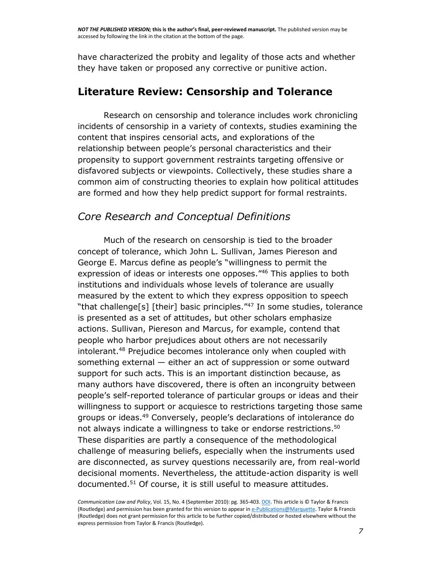have characterized the probity and legality of those acts and whether they have taken or proposed any corrective or punitive action.

## **Literature Review: Censorship and Tolerance**

Research on censorship and tolerance includes work chronicling incidents of censorship in a variety of contexts, studies examining the content that inspires censorial acts, and explorations of the relationship between people's personal characteristics and their propensity to support government restraints targeting offensive or disfavored subjects or viewpoints. Collectively, these studies share a common aim of constructing theories to explain how political attitudes are formed and how they help predict support for formal restraints.

#### *Core Research and Conceptual Definitions*

Much of the research on censorship is tied to the broader concept of tolerance, which John L. Sullivan, James Piereson and George E. Marcus define as people's "willingness to permit the expression of ideas or interests one opposes.<sup>"46</sup> This applies to both institutions and individuals whose levels of tolerance are usually measured by the extent to which they express opposition to speech "that challenge[s] [their] basic principles."47 In some studies, tolerance is presented as a set of attitudes, but other scholars emphasize actions. Sullivan, Piereson and Marcus, for example, contend that people who harbor prejudices about others are not necessarily intolerant.<sup>48</sup> Prejudice becomes intolerance only when coupled with something external — either an act of suppression or some outward support for such acts. This is an important distinction because, as many authors have discovered, there is often an incongruity between people's self-reported tolerance of particular groups or ideas and their willingness to support or acquiesce to restrictions targeting those same groups or ideas.<sup>49</sup> Conversely, people's declarations of intolerance do not always indicate a willingness to take or endorse restrictions.<sup>50</sup> These disparities are partly a consequence of the methodological challenge of measuring beliefs, especially when the instruments used are disconnected, as survey questions necessarily are, from real-world decisional moments. Nevertheless, the attitude-action disparity is well documented.<sup>51</sup> Of course, it is still useful to measure attitudes.

*Communication Law and Policy*, Vol. 15, No. 4 (September 2010): pg. 365-403[. DOI.](http://dx.doi.org/10.1080/10811680.2010.512509) This article is © Taylor & Francis (Routledge) and permission has been granted for this version to appear i[n e-Publications@Marquette.](http://epublications.marquette.edu/) Taylor & Francis (Routledge) does not grant permission for this article to be further copied/distributed or hosted elsewhere without the express permission from Taylor & Francis (Routledge).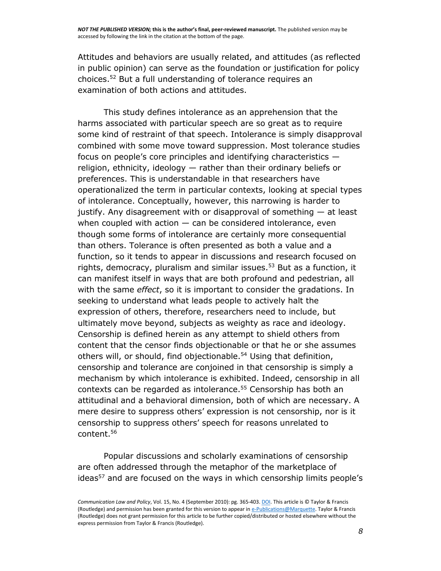Attitudes and behaviors are usually related, and attitudes (as reflected in public opinion) can serve as the foundation or justification for policy choices.<sup>52</sup> But a full understanding of tolerance requires an examination of both actions and attitudes.

This study defines intolerance as an apprehension that the harms associated with particular speech are so great as to require some kind of restraint of that speech. Intolerance is simply disapproval combined with some move toward suppression. Most tolerance studies focus on people's core principles and identifying characteristics religion, ethnicity, ideology — rather than their ordinary beliefs or preferences. This is understandable in that researchers have operationalized the term in particular contexts, looking at special types of intolerance. Conceptually, however, this narrowing is harder to justify. Any disagreement with or disapproval of something  $-$  at least when coupled with action  $-$  can be considered intolerance, even though some forms of intolerance are certainly more consequential than others. Tolerance is often presented as both a value and a function, so it tends to appear in discussions and research focused on rights, democracy, pluralism and similar issues.<sup>53</sup> But as a function, it can manifest itself in ways that are both profound and pedestrian, all with the same *effect*, so it is important to consider the gradations. In seeking to understand what leads people to actively halt the expression of others, therefore, researchers need to include, but ultimately move beyond, subjects as weighty as race and ideology. Censorship is defined herein as any attempt to shield others from content that the censor finds objectionable or that he or she assumes others will, or should, find objectionable.<sup>54</sup> Using that definition, censorship and tolerance are conjoined in that censorship is simply a mechanism by which intolerance is exhibited. Indeed, censorship in all contexts can be regarded as intolerance.<sup>55</sup> Censorship has both an attitudinal and a behavioral dimension, both of which are necessary. A mere desire to suppress others' expression is not censorship, nor is it censorship to suppress others' speech for reasons unrelated to content.<sup>56</sup>

Popular discussions and scholarly examinations of censorship are often addressed through the metaphor of the marketplace of ideas<sup>57</sup> and are focused on the ways in which censorship limits people's

*Communication Law and Policy*, Vol. 15, No. 4 (September 2010): pg. 365-403[. DOI.](http://dx.doi.org/10.1080/10811680.2010.512509) This article is © Taylor & Francis (Routledge) and permission has been granted for this version to appear i[n e-Publications@Marquette.](http://epublications.marquette.edu/) Taylor & Francis (Routledge) does not grant permission for this article to be further copied/distributed or hosted elsewhere without the express permission from Taylor & Francis (Routledge).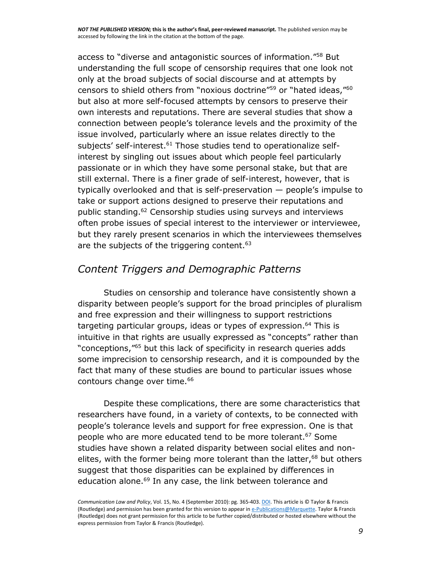access to "diverse and antagonistic sources of information."<sup>58</sup> But understanding the full scope of censorship requires that one look not only at the broad subjects of social discourse and at attempts by censors to shield others from "noxious doctrine"<sup>59</sup> or "hated ideas,"<sup>60</sup> but also at more self-focused attempts by censors to preserve their own interests and reputations. There are several studies that show a connection between people's tolerance levels and the proximity of the issue involved, particularly where an issue relates directly to the subjects' self-interest.<sup>61</sup> Those studies tend to operationalize selfinterest by singling out issues about which people feel particularly passionate or in which they have some personal stake, but that are still external. There is a finer grade of self-interest, however, that is typically overlooked and that is self-preservation — people's impulse to take or support actions designed to preserve their reputations and public standing.<sup>62</sup> Censorship studies using surveys and interviews often probe issues of special interest to the interviewer or interviewee, but they rarely present scenarios in which the interviewees themselves are the subjects of the triggering content. $63$ 

## *Content Triggers and Demographic Patterns*

Studies on censorship and tolerance have consistently shown a disparity between people's support for the broad principles of pluralism and free expression and their willingness to support restrictions targeting particular groups, ideas or types of expression.<sup>64</sup> This is intuitive in that rights are usually expressed as "concepts" rather than "conceptions,"<sup>65</sup> but this lack of specificity in research queries adds some imprecision to censorship research, and it is compounded by the fact that many of these studies are bound to particular issues whose contours change over time.<sup>66</sup>

Despite these complications, there are some characteristics that researchers have found, in a variety of contexts, to be connected with people's tolerance levels and support for free expression. One is that people who are more educated tend to be more tolerant.<sup>67</sup> Some studies have shown a related disparity between social elites and nonelites, with the former being more tolerant than the latter, $68$  but others suggest that those disparities can be explained by differences in education alone.<sup>69</sup> In any case, the link between tolerance and

*Communication Law and Policy*, Vol. 15, No. 4 (September 2010): pg. 365-403[. DOI.](http://dx.doi.org/10.1080/10811680.2010.512509) This article is © Taylor & Francis (Routledge) and permission has been granted for this version to appear i[n e-Publications@Marquette.](http://epublications.marquette.edu/) Taylor & Francis (Routledge) does not grant permission for this article to be further copied/distributed or hosted elsewhere without the express permission from Taylor & Francis (Routledge).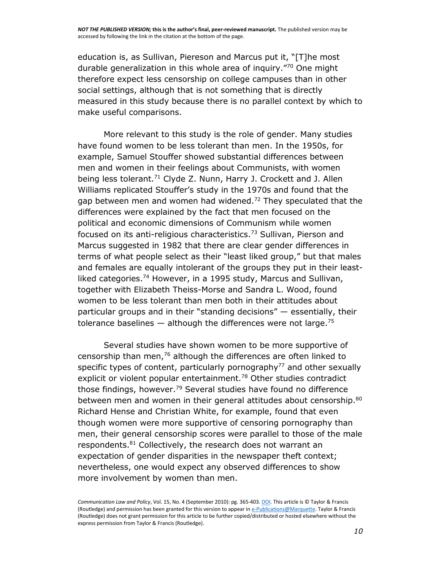education is, as Sullivan, Piereson and Marcus put it, "[T]he most durable generalization in this whole area of inquiry."<sup>70</sup> One might therefore expect less censorship on college campuses than in other social settings, although that is not something that is directly measured in this study because there is no parallel context by which to make useful comparisons.

More relevant to this study is the role of gender. Many studies have found women to be less tolerant than men. In the 1950s, for example, Samuel Stouffer showed substantial differences between men and women in their feelings about Communists, with women being less tolerant.<sup>71</sup> Clyde Z. Nunn, Harry J. Crockett and J. Allen Williams replicated Stouffer's study in the 1970s and found that the gap between men and women had widened.<sup>72</sup> They speculated that the differences were explained by the fact that men focused on the political and economic dimensions of Communism while women focused on its anti-religious characteristics.<sup>73</sup> Sullivan, Pierson and Marcus suggested in 1982 that there are clear gender differences in terms of what people select as their "least liked group," but that males and females are equally intolerant of the groups they put in their leastliked categories.<sup>74</sup> However, in a 1995 study, Marcus and Sullivan, together with Elizabeth Theiss-Morse and Sandra L. Wood, found women to be less tolerant than men both in their attitudes about particular groups and in their "standing decisions" — essentially, their tolerance baselines  $-$  although the differences were not large.<sup>75</sup>

Several studies have shown women to be more supportive of censorship than men,<sup>76</sup> although the differences are often linked to specific types of content, particularly pornography $<sup>77</sup>$  and other sexually</sup> explicit or violent popular entertainment.<sup>78</sup> Other studies contradict those findings, however.<sup>79</sup> Several studies have found no difference between men and women in their general attitudes about censorship.<sup>80</sup> Richard Hense and Christian White, for example, found that even though women were more supportive of censoring pornography than men, their general censorship scores were parallel to those of the male respondents.<sup>81</sup> Collectively, the research does not warrant an expectation of gender disparities in the newspaper theft context; nevertheless, one would expect any observed differences to show more involvement by women than men.

*Communication Law and Policy*, Vol. 15, No. 4 (September 2010): pg. 365-403[. DOI.](http://dx.doi.org/10.1080/10811680.2010.512509) This article is © Taylor & Francis (Routledge) and permission has been granted for this version to appear i[n e-Publications@Marquette.](http://epublications.marquette.edu/) Taylor & Francis (Routledge) does not grant permission for this article to be further copied/distributed or hosted elsewhere without the express permission from Taylor & Francis (Routledge).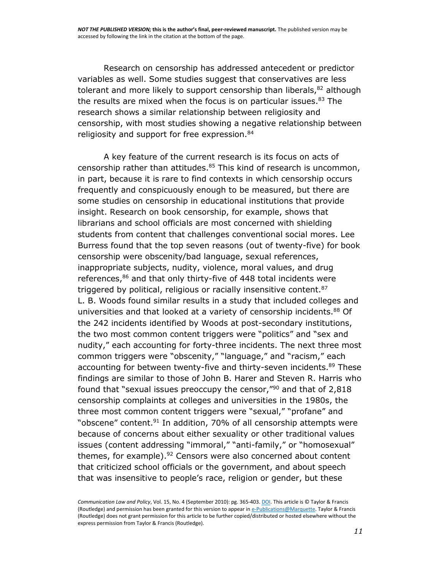Research on censorship has addressed antecedent or predictor variables as well. Some studies suggest that conservatives are less tolerant and more likely to support censorship than liberals, 82 although the results are mixed when the focus is on particular issues. $83$  The research shows a similar relationship between religiosity and censorship, with most studies showing a negative relationship between religiosity and support for free expression.<sup>84</sup>

A key feature of the current research is its focus on acts of censorship rather than attitudes. $85$  This kind of research is uncommon, in part, because it is rare to find contexts in which censorship occurs frequently and conspicuously enough to be measured, but there are some studies on censorship in educational institutions that provide insight. Research on book censorship, for example, shows that librarians and school officials are most concerned with shielding students from content that challenges conventional social mores. Lee Burress found that the top seven reasons (out of twenty-five) for book censorship were obscenity/bad language, sexual references, inappropriate subjects, nudity, violence, moral values, and drug references,<sup>86</sup> and that only thirty-five of 448 total incidents were triggered by political, religious or racially insensitive content.<sup>87</sup> L. B. Woods found similar results in a study that included colleges and universities and that looked at a variety of censorship incidents.<sup>88</sup> Of the 242 incidents identified by Woods at post-secondary institutions, the two most common content triggers were "politics" and "sex and nudity," each accounting for forty-three incidents. The next three most common triggers were "obscenity," "language," and "racism," each accounting for between twenty-five and thirty-seven incidents.<sup>89</sup> These findings are similar to those of John B. Harer and Steven R. Harris who found that "sexual issues preoccupy the censor,"<sup>90</sup> and that of 2,818 censorship complaints at colleges and universities in the 1980s, the three most common content triggers were "sexual," "profane" and "obscene" content.<sup>91</sup> In addition, 70% of all censorship attempts were because of concerns about either sexuality or other traditional values issues (content addressing "immoral," "anti-family," or "homosexual" themes, for example). $92$  Censors were also concerned about content that criticized school officials or the government, and about speech that was insensitive to people's race, religion or gender, but these

*Communication Law and Policy*, Vol. 15, No. 4 (September 2010): pg. 365-403[. DOI.](http://dx.doi.org/10.1080/10811680.2010.512509) This article is © Taylor & Francis (Routledge) and permission has been granted for this version to appear i[n e-Publications@Marquette.](http://epublications.marquette.edu/) Taylor & Francis (Routledge) does not grant permission for this article to be further copied/distributed or hosted elsewhere without the express permission from Taylor & Francis (Routledge).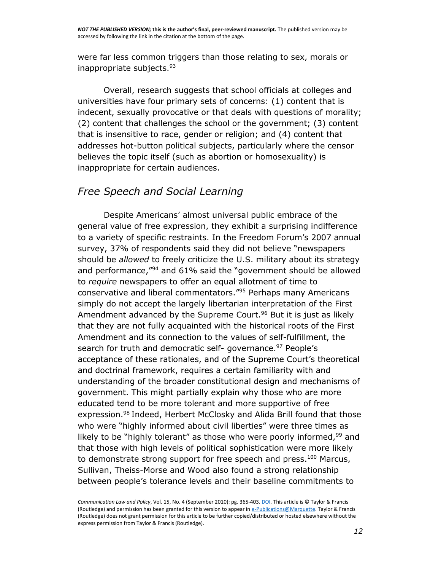were far less common triggers than those relating to sex, morals or inappropriate subjects.<sup>93</sup>

Overall, research suggests that school officials at colleges and universities have four primary sets of concerns: (1) content that is indecent, sexually provocative or that deals with questions of morality; (2) content that challenges the school or the government; (3) content that is insensitive to race, gender or religion; and (4) content that addresses hot-button political subjects, particularly where the censor believes the topic itself (such as abortion or homosexuality) is inappropriate for certain audiences.

## *Free Speech and Social Learning*

Despite Americans' almost universal public embrace of the general value of free expression, they exhibit a surprising indifference to a variety of specific restraints. In the Freedom Forum's 2007 annual survey, 37% of respondents said they did not believe "newspapers should be *allowed* to freely criticize the U.S. military about its strategy and performance,"<sup>94</sup> and 61% said the "government should be allowed to *require* newspapers to offer an equal allotment of time to conservative and liberal commentators."<sup>95</sup> Perhaps many Americans simply do not accept the largely libertarian interpretation of the First Amendment advanced by the Supreme Court.<sup>96</sup> But it is just as likely that they are not fully acquainted with the historical roots of the First Amendment and its connection to the values of self-fulfillment, the search for truth and democratic self- governance.<sup>97</sup> People's acceptance of these rationales, and of the Supreme Court's theoretical and doctrinal framework, requires a certain familiarity with and understanding of the broader constitutional design and mechanisms of government. This might partially explain why those who are more educated tend to be more tolerant and more supportive of free expression.<sup>98</sup> Indeed, Herbert McClosky and Alida Brill found that those who were "highly informed about civil liberties" were three times as likely to be "highly tolerant" as those who were poorly informed,  $99$  and that those with high levels of political sophistication were more likely to demonstrate strong support for free speech and press.<sup>100</sup> Marcus, Sullivan, Theiss-Morse and Wood also found a strong relationship between people's tolerance levels and their baseline commitments to

*Communication Law and Policy*, Vol. 15, No. 4 (September 2010): pg. 365-403[. DOI.](http://dx.doi.org/10.1080/10811680.2010.512509) This article is © Taylor & Francis (Routledge) and permission has been granted for this version to appear i[n e-Publications@Marquette.](http://epublications.marquette.edu/) Taylor & Francis (Routledge) does not grant permission for this article to be further copied/distributed or hosted elsewhere without the express permission from Taylor & Francis (Routledge).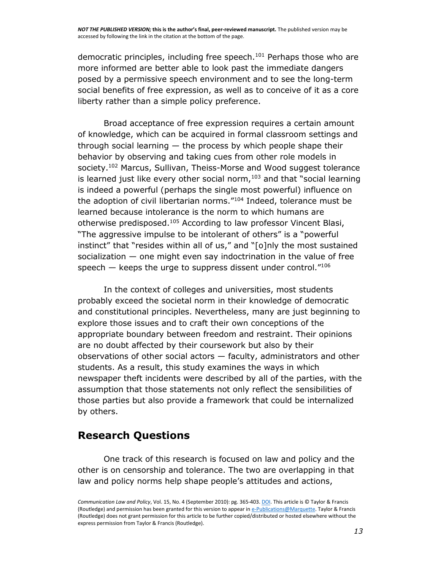*NOT THE PUBLISHED VERSION;* **this is the author's final, peer-reviewed manuscript.** The published version may be accessed by following the link in the citation at the bottom of the page.

democratic principles, including free speech.<sup>101</sup> Perhaps those who are more informed are better able to look past the immediate dangers posed by a permissive speech environment and to see the long-term social benefits of free expression, as well as to conceive of it as a core liberty rather than a simple policy preference.

Broad acceptance of free expression requires a certain amount of knowledge, which can be acquired in formal classroom settings and through social learning  $-$  the process by which people shape their behavior by observing and taking cues from other role models in society.<sup>102</sup> Marcus, Sullivan, Theiss-Morse and Wood suggest tolerance is learned just like every other social norm, $103$  and that "social learning is indeed a powerful (perhaps the single most powerful) influence on the adoption of civil libertarian norms."<sup>104</sup> Indeed, tolerance must be learned because intolerance is the norm to which humans are otherwise predisposed.<sup>105</sup> According to law professor Vincent Blasi, "The aggressive impulse to be intolerant of others" is a "powerful instinct" that "resides within all of us," and "[o]nly the most sustained socialization — one might even say indoctrination in the value of free speech  $-$  keeps the urge to suppress dissent under control."<sup>106</sup>

In the context of colleges and universities, most students probably exceed the societal norm in their knowledge of democratic and constitutional principles. Nevertheless, many are just beginning to explore those issues and to craft their own conceptions of the appropriate boundary between freedom and restraint. Their opinions are no doubt affected by their coursework but also by their observations of other social actors — faculty, administrators and other students. As a result, this study examines the ways in which newspaper theft incidents were described by all of the parties, with the assumption that those statements not only reflect the sensibilities of those parties but also provide a framework that could be internalized by others.

#### **Research Questions**

One track of this research is focused on law and policy and the other is on censorship and tolerance. The two are overlapping in that law and policy norms help shape people's attitudes and actions,

*Communication Law and Policy*, Vol. 15, No. 4 (September 2010): pg. 365-403[. DOI.](http://dx.doi.org/10.1080/10811680.2010.512509) This article is © Taylor & Francis (Routledge) and permission has been granted for this version to appear i[n e-Publications@Marquette.](http://epublications.marquette.edu/) Taylor & Francis (Routledge) does not grant permission for this article to be further copied/distributed or hosted elsewhere without the express permission from Taylor & Francis (Routledge).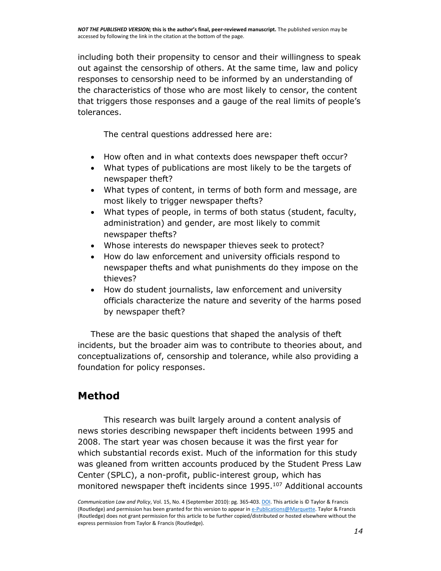including both their propensity to censor and their willingness to speak out against the censorship of others. At the same time, law and policy responses to censorship need to be informed by an understanding of the characteristics of those who are most likely to censor, the content that triggers those responses and a gauge of the real limits of people's tolerances.

The central questions addressed here are:

- How often and in what contexts does newspaper theft occur?
- What types of publications are most likely to be the targets of newspaper theft?
- What types of content, in terms of both form and message, are most likely to trigger newspaper thefts?
- What types of people, in terms of both status (student, faculty, administration) and gender, are most likely to commit newspaper thefts?
- Whose interests do newspaper thieves seek to protect?
- How do law enforcement and university officials respond to newspaper thefts and what punishments do they impose on the thieves?
- How do student journalists, law enforcement and university officials characterize the nature and severity of the harms posed by newspaper theft?

These are the basic questions that shaped the analysis of theft incidents, but the broader aim was to contribute to theories about, and conceptualizations of, censorship and tolerance, while also providing a foundation for policy responses.

# **Method**

This research was built largely around a content analysis of news stories describing newspaper theft incidents between 1995 and 2008. The start year was chosen because it was the first year for which substantial records exist. Much of the information for this study was gleaned from written accounts produced by the Student Press Law Center (SPLC), a non-profit, public-interest group, which has monitored newspaper theft incidents since 1995.<sup>107</sup> Additional accounts

*Communication Law and Policy*, Vol. 15, No. 4 (September 2010): pg. 365-403[. DOI.](http://dx.doi.org/10.1080/10811680.2010.512509) This article is © Taylor & Francis (Routledge) and permission has been granted for this version to appear i[n e-Publications@Marquette.](http://epublications.marquette.edu/) Taylor & Francis (Routledge) does not grant permission for this article to be further copied/distributed or hosted elsewhere without the express permission from Taylor & Francis (Routledge).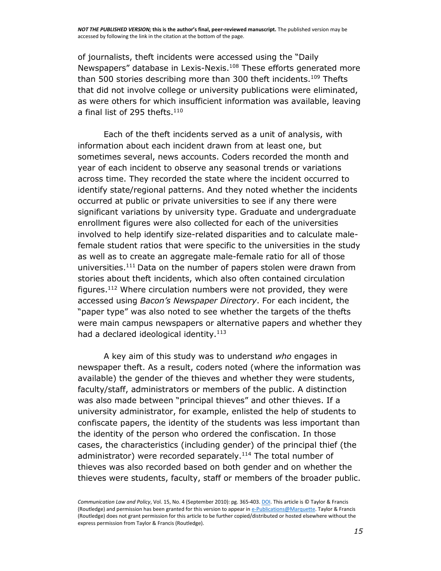of journalists, theft incidents were accessed using the "Daily Newspapers" database in Lexis-Nexis.<sup>108</sup> These efforts generated more than 500 stories describing more than 300 theft incidents.<sup>109</sup> Thefts that did not involve college or university publications were eliminated, as were others for which insufficient information was available, leaving a final list of 295 thefts. $110$ 

Each of the theft incidents served as a unit of analysis, with information about each incident drawn from at least one, but sometimes several, news accounts. Coders recorded the month and year of each incident to observe any seasonal trends or variations across time. They recorded the state where the incident occurred to identify state/regional patterns. And they noted whether the incidents occurred at public or private universities to see if any there were significant variations by university type. Graduate and undergraduate enrollment figures were also collected for each of the universities involved to help identify size-related disparities and to calculate malefemale student ratios that were specific to the universities in the study as well as to create an aggregate male-female ratio for all of those universities.<sup>111</sup> Data on the number of papers stolen were drawn from stories about theft incidents, which also often contained circulation figures.<sup>112</sup> Where circulation numbers were not provided, they were accessed using *Bacon's Newspaper Directory*. For each incident, the "paper type" was also noted to see whether the targets of the thefts were main campus newspapers or alternative papers and whether they had a declared ideological identity.<sup>113</sup>

A key aim of this study was to understand *who* engages in newspaper theft. As a result, coders noted (where the information was available) the gender of the thieves and whether they were students, faculty/staff, administrators or members of the public. A distinction was also made between "principal thieves" and other thieves. If a university administrator, for example, enlisted the help of students to confiscate papers, the identity of the students was less important than the identity of the person who ordered the confiscation. In those cases, the characteristics (including gender) of the principal thief (the administrator) were recorded separately.<sup>114</sup> The total number of thieves was also recorded based on both gender and on whether the thieves were students, faculty, staff or members of the broader public.

*Communication Law and Policy*, Vol. 15, No. 4 (September 2010): pg. 365-403[. DOI.](http://dx.doi.org/10.1080/10811680.2010.512509) This article is © Taylor & Francis (Routledge) and permission has been granted for this version to appear i[n e-Publications@Marquette.](http://epublications.marquette.edu/) Taylor & Francis (Routledge) does not grant permission for this article to be further copied/distributed or hosted elsewhere without the express permission from Taylor & Francis (Routledge).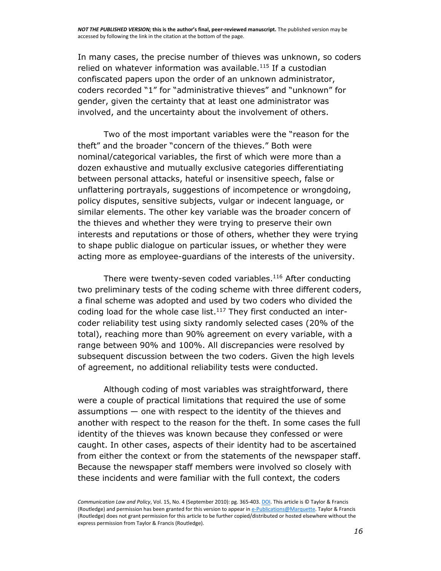*NOT THE PUBLISHED VERSION;* **this is the author's final, peer-reviewed manuscript.** The published version may be accessed by following the link in the citation at the bottom of the page.

In many cases, the precise number of thieves was unknown, so coders relied on whatever information was available. $115$  If a custodian confiscated papers upon the order of an unknown administrator, coders recorded "1" for "administrative thieves" and "unknown" for gender, given the certainty that at least one administrator was involved, and the uncertainty about the involvement of others.

Two of the most important variables were the "reason for the theft" and the broader "concern of the thieves." Both were nominal/categorical variables, the first of which were more than a dozen exhaustive and mutually exclusive categories differentiating between personal attacks, hateful or insensitive speech, false or unflattering portrayals, suggestions of incompetence or wrongdoing, policy disputes, sensitive subjects, vulgar or indecent language, or similar elements. The other key variable was the broader concern of the thieves and whether they were trying to preserve their own interests and reputations or those of others, whether they were trying to shape public dialogue on particular issues, or whether they were acting more as employee-guardians of the interests of the university.

There were twenty-seven coded variables.<sup>116</sup> After conducting two preliminary tests of the coding scheme with three different coders, a final scheme was adopted and used by two coders who divided the coding load for the whole case list. $117$  They first conducted an intercoder reliability test using sixty randomly selected cases (20% of the total), reaching more than 90% agreement on every variable, with a range between 90% and 100%. All discrepancies were resolved by subsequent discussion between the two coders. Given the high levels of agreement, no additional reliability tests were conducted.

Although coding of most variables was straightforward, there were a couple of practical limitations that required the use of some assumptions — one with respect to the identity of the thieves and another with respect to the reason for the theft. In some cases the full identity of the thieves was known because they confessed or were caught. In other cases, aspects of their identity had to be ascertained from either the context or from the statements of the newspaper staff. Because the newspaper staff members were involved so closely with these incidents and were familiar with the full context, the coders

*Communication Law and Policy*, Vol. 15, No. 4 (September 2010): pg. 365-403[. DOI.](http://dx.doi.org/10.1080/10811680.2010.512509) This article is © Taylor & Francis (Routledge) and permission has been granted for this version to appear i[n e-Publications@Marquette.](http://epublications.marquette.edu/) Taylor & Francis (Routledge) does not grant permission for this article to be further copied/distributed or hosted elsewhere without the express permission from Taylor & Francis (Routledge).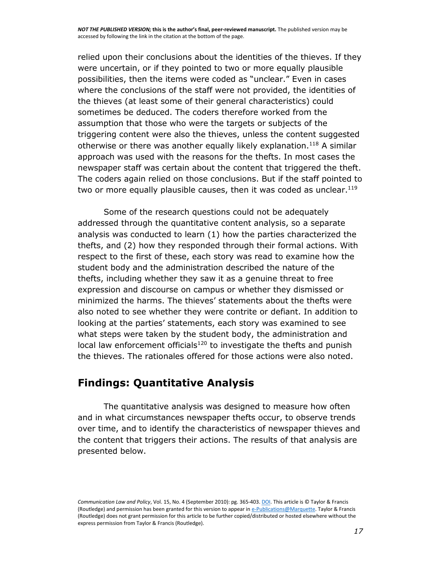*NOT THE PUBLISHED VERSION;* **this is the author's final, peer-reviewed manuscript.** The published version may be accessed by following the link in the citation at the bottom of the page.

relied upon their conclusions about the identities of the thieves. If they were uncertain, or if they pointed to two or more equally plausible possibilities, then the items were coded as "unclear." Even in cases where the conclusions of the staff were not provided, the identities of the thieves (at least some of their general characteristics) could sometimes be deduced. The coders therefore worked from the assumption that those who were the targets or subjects of the triggering content were also the thieves, unless the content suggested otherwise or there was another equally likely explanation.<sup>118</sup> A similar approach was used with the reasons for the thefts. In most cases the newspaper staff was certain about the content that triggered the theft. The coders again relied on those conclusions. But if the staff pointed to two or more equally plausible causes, then it was coded as unclear. $119$ 

Some of the research questions could not be adequately addressed through the quantitative content analysis, so a separate analysis was conducted to learn (1) how the parties characterized the thefts, and (2) how they responded through their formal actions. With respect to the first of these, each story was read to examine how the student body and the administration described the nature of the thefts, including whether they saw it as a genuine threat to free expression and discourse on campus or whether they dismissed or minimized the harms. The thieves' statements about the thefts were also noted to see whether they were contrite or defiant. In addition to looking at the parties' statements, each story was examined to see what steps were taken by the student body, the administration and local law enforcement officials<sup>120</sup> to investigate the thefts and punish the thieves. The rationales offered for those actions were also noted.

#### **Findings: Quantitative Analysis**

The quantitative analysis was designed to measure how often and in what circumstances newspaper thefts occur, to observe trends over time, and to identify the characteristics of newspaper thieves and the content that triggers their actions. The results of that analysis are presented below.

*Communication Law and Policy*, Vol. 15, No. 4 (September 2010): pg. 365-403[. DOI.](http://dx.doi.org/10.1080/10811680.2010.512509) This article is © Taylor & Francis (Routledge) and permission has been granted for this version to appear i[n e-Publications@Marquette.](http://epublications.marquette.edu/) Taylor & Francis (Routledge) does not grant permission for this article to be further copied/distributed or hosted elsewhere without the express permission from Taylor & Francis (Routledge).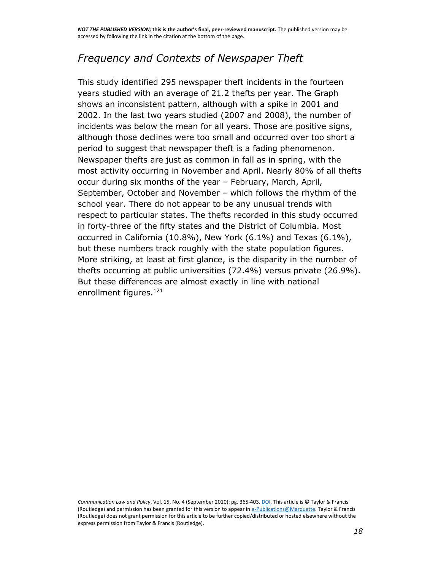# *Frequency and Contexts of Newspaper Theft*

This study identified 295 newspaper theft incidents in the fourteen years studied with an average of 21.2 thefts per year. The Graph shows an inconsistent pattern, although with a spike in 2001 and 2002. In the last two years studied (2007 and 2008), the number of incidents was below the mean for all years. Those are positive signs, although those declines were too small and occurred over too short a period to suggest that newspaper theft is a fading phenomenon. Newspaper thefts are just as common in fall as in spring, with the most activity occurring in November and April. Nearly 80% of all thefts occur during six months of the year – February, March, April, September, October and November – which follows the rhythm of the school year. There do not appear to be any unusual trends with respect to particular states. The thefts recorded in this study occurred in forty-three of the fifty states and the District of Columbia. Most occurred in California (10.8%), New York (6.1%) and Texas (6.1%), but these numbers track roughly with the state population figures. More striking, at least at first glance, is the disparity in the number of thefts occurring at public universities (72.4%) versus private (26.9%). But these differences are almost exactly in line with national enrollment figures.<sup>121</sup>

*Communication Law and Policy*, Vol. 15, No. 4 (September 2010): pg. 365-403[. DOI.](http://dx.doi.org/10.1080/10811680.2010.512509) This article is © Taylor & Francis (Routledge) and permission has been granted for this version to appear i[n e-Publications@Marquette.](http://epublications.marquette.edu/) Taylor & Francis (Routledge) does not grant permission for this article to be further copied/distributed or hosted elsewhere without the express permission from Taylor & Francis (Routledge).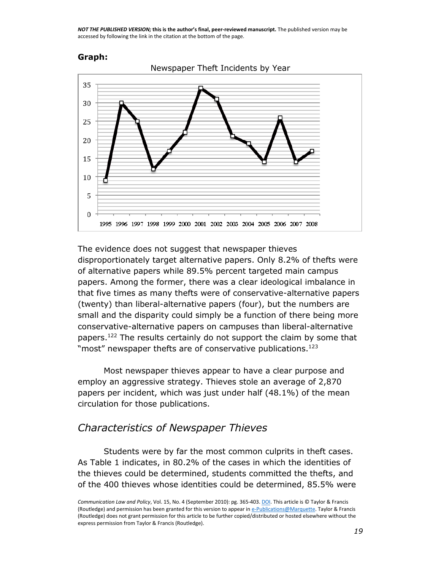*NOT THE PUBLISHED VERSION;* **this is the author's final, peer-reviewed manuscript.** The published version may be accessed by following the link in the citation at the bottom of the page.





The evidence does not suggest that newspaper thieves disproportionately target alternative papers. Only 8.2% of thefts were of alternative papers while 89.5% percent targeted main campus papers. Among the former, there was a clear ideological imbalance in that five times as many thefts were of conservative-alternative papers (twenty) than liberal-alternative papers (four), but the numbers are small and the disparity could simply be a function of there being more conservative-alternative papers on campuses than liberal-alternative papers.<sup>122</sup> The results certainly do not support the claim by some that "most" newspaper thefts are of conservative publications.<sup>123</sup>

Most newspaper thieves appear to have a clear purpose and employ an aggressive strategy. Thieves stole an average of 2,870 papers per incident, which was just under half (48.1%) of the mean circulation for those publications.

#### *Characteristics of Newspaper Thieves*

Students were by far the most common culprits in theft cases. As Table 1 indicates, in 80.2% of the cases in which the identities of the thieves could be determined, students committed the thefts, and of the 400 thieves whose identities could be determined, 85.5% were

*Communication Law and Policy*, Vol. 15, No. 4 (September 2010): pg. 365-403[. DOI.](http://dx.doi.org/10.1080/10811680.2010.512509) This article is © Taylor & Francis (Routledge) and permission has been granted for this version to appear i[n e-Publications@Marquette.](http://epublications.marquette.edu/) Taylor & Francis (Routledge) does not grant permission for this article to be further copied/distributed or hosted elsewhere without the express permission from Taylor & Francis (Routledge).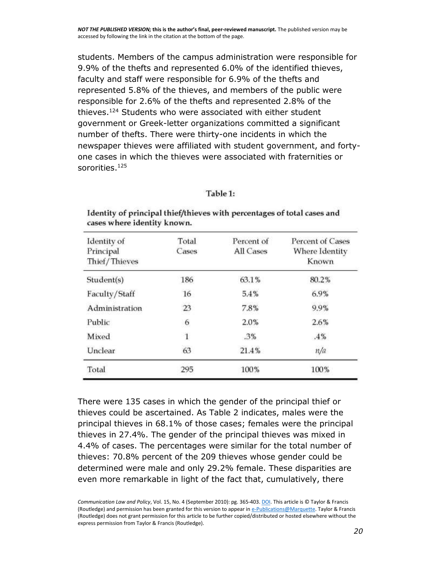*NOT THE PUBLISHED VERSION;* **this is the author's final, peer-reviewed manuscript.** The published version may be accessed by following the link in the citation at the bottom of the page.

students. Members of the campus administration were responsible for 9.9% of the thefts and represented 6.0% of the identified thieves, faculty and staff were responsible for 6.9% of the thefts and represented 5.8% of the thieves, and members of the public were responsible for 2.6% of the thefts and represented 2.8% of the thieves.<sup>124</sup> Students who were associated with either student government or Greek-letter organizations committed a significant number of thefts. There were thirty-one incidents in which the newspaper thieves were affiliated with student government, and fortyone cases in which the thieves were associated with fraternities or sororities.<sup>125</sup>

#### Table 1:

| Identity of<br>Principal<br>Thief/Thieves | Total<br>Cases | Percent of<br>All Cases | <b>Percent of Cases</b><br>Where Identity<br>Known |
|-------------------------------------------|----------------|-------------------------|----------------------------------------------------|
| Student(s)                                | 186            | 63.1%                   | 80.2%                                              |
| Faculty/Staff                             | 16             | 5.4%                    | 6.9%                                               |
| Administration                            | 23             | 7.8%                    | 9.9%                                               |
| Public                                    | 6              | 2.0%                    | 2.6%                                               |
| Mixed                                     | $\mathbf{1}$   | .3%                     | .4%                                                |
| Unclear                                   | 63             | 21.4%                   | n/a                                                |
| Total                                     | 295            | 100%                    | 100%                                               |

Identity of principal thief/thieves with percentages of total cases and cases where identity known.

There were 135 cases in which the gender of the principal thief or thieves could be ascertained. As Table 2 indicates, males were the principal thieves in 68.1% of those cases; females were the principal thieves in 27.4%. The gender of the principal thieves was mixed in 4.4% of cases. The percentages were similar for the total number of thieves: 70.8% percent of the 209 thieves whose gender could be determined were male and only 29.2% female. These disparities are even more remarkable in light of the fact that, cumulatively, there

*Communication Law and Policy*, Vol. 15, No. 4 (September 2010): pg. 365-403[. DOI.](http://dx.doi.org/10.1080/10811680.2010.512509) This article is © Taylor & Francis (Routledge) and permission has been granted for this version to appear i[n e-Publications@Marquette.](http://epublications.marquette.edu/) Taylor & Francis (Routledge) does not grant permission for this article to be further copied/distributed or hosted elsewhere without the express permission from Taylor & Francis (Routledge).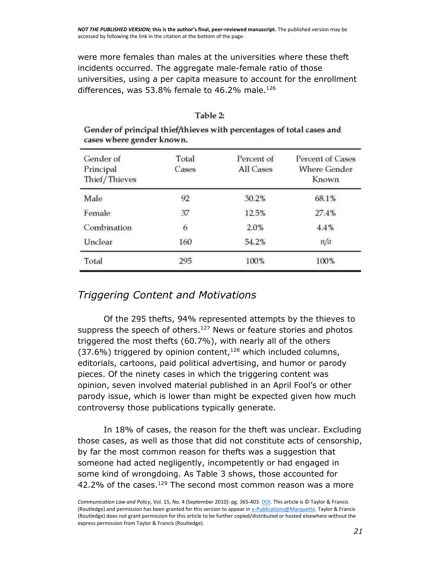were more females than males at the universities where these theft incidents occurred. The aggregate male-female ratio of those universities, using a per capita measure to account for the enrollment differences, was 53.8% female to 46.2% male.<sup>126</sup>

#### Table 2:

Gender of principal thief/thieves with percentages of total cases and cases where gender known.

| Gender of<br>Principal<br>Thief/Thieves | Total<br>Cases | Percent of<br><b>All Cases</b> | <b>Percent of Cases</b><br><b>Where Gender</b><br>Known |
|-----------------------------------------|----------------|--------------------------------|---------------------------------------------------------|
| Male                                    | 92             | 30.2%                          | 68.1%                                                   |
| Female                                  | 37             | 12.5%                          | 27.4%                                                   |
| Combination                             | 6              | 2.0%                           | 4.4%                                                    |
| Unclear                                 | 160            | 54.2%                          | n/a                                                     |
| Total                                   | 295            | 100%                           | 100%                                                    |

# *Triggering Content and Motivations*

Of the 295 thefts, 94% represented attempts by the thieves to suppress the speech of others. $127$  News or feature stories and photos triggered the most thefts (60.7%), with nearly all of the others  $(37.6%)$  triggered by opinion content,<sup>128</sup> which included columns, editorials, cartoons, paid political advertising, and humor or parody pieces. Of the ninety cases in which the triggering content was opinion, seven involved material published in an April Fool's or other parody issue, which is lower than might be expected given how much controversy those publications typically generate.

In 18% of cases, the reason for the theft was unclear. Excluding those cases, as well as those that did not constitute acts of censorship, by far the most common reason for thefts was a suggestion that someone had acted negligently, incompetently or had engaged in some kind of wrongdoing. As Table 3 shows, those accounted for 42.2% of the cases.<sup>129</sup> The second most common reason was a more

*Communication Law and Policy*, Vol. 15, No. 4 (September 2010): pg. 365-403[. DOI.](http://dx.doi.org/10.1080/10811680.2010.512509) This article is © Taylor & Francis (Routledge) and permission has been granted for this version to appear i[n e-Publications@Marquette.](http://epublications.marquette.edu/) Taylor & Francis (Routledge) does not grant permission for this article to be further copied/distributed or hosted elsewhere without the express permission from Taylor & Francis (Routledge).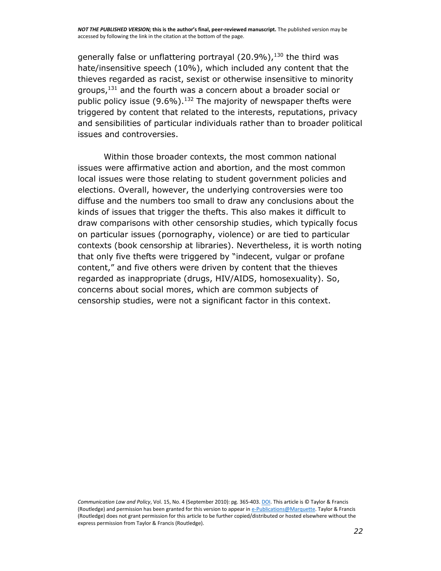generally false or unflattering portrayal  $(20.9\%)$ ,<sup>130</sup> the third was hate/insensitive speech (10%), which included any content that the thieves regarded as racist, sexist or otherwise insensitive to minority groups, $131$  and the fourth was a concern about a broader social or public policy issue  $(9.6\%)$ .<sup>132</sup> The majority of newspaper thefts were triggered by content that related to the interests, reputations, privacy and sensibilities of particular individuals rather than to broader political issues and controversies.

Within those broader contexts, the most common national issues were affirmative action and abortion, and the most common local issues were those relating to student government policies and elections. Overall, however, the underlying controversies were too diffuse and the numbers too small to draw any conclusions about the kinds of issues that trigger the thefts. This also makes it difficult to draw comparisons with other censorship studies, which typically focus on particular issues (pornography, violence) or are tied to particular contexts (book censorship at libraries). Nevertheless, it is worth noting that only five thefts were triggered by "indecent, vulgar or profane content," and five others were driven by content that the thieves regarded as inappropriate (drugs, HIV/AIDS, homosexuality). So, concerns about social mores, which are common subjects of censorship studies, were not a significant factor in this context.

*Communication Law and Policy*, Vol. 15, No. 4 (September 2010): pg. 365-403[. DOI.](http://dx.doi.org/10.1080/10811680.2010.512509) This article is © Taylor & Francis (Routledge) and permission has been granted for this version to appear i[n e-Publications@Marquette.](http://epublications.marquette.edu/) Taylor & Francis (Routledge) does not grant permission for this article to be further copied/distributed or hosted elsewhere without the express permission from Taylor & Francis (Routledge).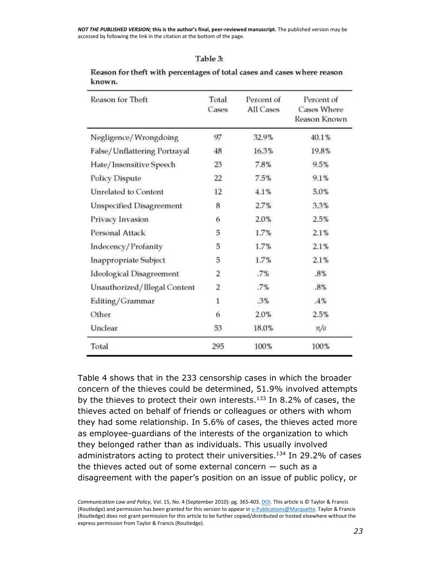*NOT THE PUBLISHED VERSION;* **this is the author's final, peer-reviewed manuscript.** The published version may be accessed by following the link in the citation at the bottom of the page.

#### Table 3:

| Reason for Theft                | Total<br>Cases | Percent of<br>All Cases | Percent of<br><b>Cases Where</b><br>Reason Known |
|---------------------------------|----------------|-------------------------|--------------------------------------------------|
| Negligence/Wrongdoing           | 97             | 32.9%                   | 40.1%                                            |
| False/Unflattering Portrayal    | 48             | 16.3%                   | 19.8%                                            |
| Hate/Insensitive Speech         | 23             | 7.8%                    | 9.5%                                             |
| <b>Policy Dispute</b>           | 22             | 7.5%                    | 9.1%                                             |
| <b>Unrelated to Content</b>     | 12             | 4.1%                    | 5.0%                                             |
| <b>Unspecified Disagreement</b> | 8              | 2.7%                    | 3.3%                                             |
| Privacy Invasion                | 6              | 2.0%                    | 2.5%                                             |
| <b>Personal Attack</b>          | 5              | 1.7%                    | 2.1%                                             |
| Indecency/Profanity             | 5              | 1.7%                    | 2.1%                                             |
| Inappropriate Subject           | 5              | 1.7%                    | 2.1%                                             |
| Ideological Disagreement        | $\overline{2}$ | .7%                     | .8%                                              |
| Unauthorized/Illegal Content    | $\overline{2}$ | .7%                     | .8%                                              |
| Editing/Grammar                 | $\overline{1}$ | .3%                     | .4%                                              |
| Other                           | 6              | 2.0%                    | 2.5%                                             |
| Unclear                         | 53             | 18.0%                   | n/a                                              |
| Total                           | 295            | 100%                    | 100%                                             |

Reason for theft with percentages of total cases and cases where reason known.

Table 4 shows that in the 233 censorship cases in which the broader concern of the thieves could be determined, 51.9% involved attempts by the thieves to protect their own interests.<sup>133</sup> In 8.2% of cases, the thieves acted on behalf of friends or colleagues or others with whom they had some relationship. In 5.6% of cases, the thieves acted more as employee-guardians of the interests of the organization to which they belonged rather than as individuals. This usually involved administrators acting to protect their universities. $134$  In 29.2% of cases the thieves acted out of some external concern — such as a disagreement with the paper's position on an issue of public policy, or

*Communication Law and Policy*, Vol. 15, No. 4 (September 2010): pg. 365-403[. DOI.](http://dx.doi.org/10.1080/10811680.2010.512509) This article is © Taylor & Francis (Routledge) and permission has been granted for this version to appear i[n e-Publications@Marquette.](http://epublications.marquette.edu/) Taylor & Francis (Routledge) does not grant permission for this article to be further copied/distributed or hosted elsewhere without the express permission from Taylor & Francis (Routledge).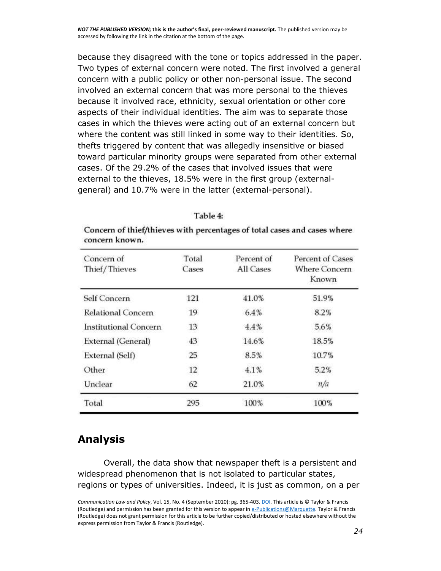because they disagreed with the tone or topics addressed in the paper. Two types of external concern were noted. The first involved a general concern with a public policy or other non-personal issue. The second involved an external concern that was more personal to the thieves because it involved race, ethnicity, sexual orientation or other core aspects of their individual identities. The aim was to separate those cases in which the thieves were acting out of an external concern but where the content was still linked in some way to their identities. So, thefts triggered by content that was allegedly insensitive or biased toward particular minority groups were separated from other external cases. Of the 29.2% of the cases that involved issues that were external to the thieves, 18.5% were in the first group (externalgeneral) and 10.7% were in the latter (external-personal).

| Table 4: |  |  |
|----------|--|--|
|----------|--|--|

Concern of thief/thieves with percentages of total cases and cases where concern known.

| Concern of<br>Thief/Thieves  | Total<br>Cases | Percent of<br>All Cases | <b>Percent of Cases</b><br>Where Concern<br>Known |
|------------------------------|----------------|-------------------------|---------------------------------------------------|
| Self Concern                 | 121            | 41.0%                   | 51.9%                                             |
| <b>Relational Concern</b>    | 19             | 6.4%                    | 8.2%                                              |
| <b>Institutional Concern</b> | 13             | 4.4%                    | 5.6%                                              |
| External (General)           | 43             | 14.6%                   | 18.5%                                             |
| External (Self)              | 25             | 8.5%                    | 10.7%                                             |
| Other                        | 12             | 4.1%                    | 5.2%                                              |
| Unclear                      | 62             | 21.0%                   | n/a                                               |
| Total                        | 295            | 100%                    | 100%                                              |

# **Analysis**

Overall, the data show that newspaper theft is a persistent and widespread phenomenon that is not isolated to particular states, regions or types of universities. Indeed, it is just as common, on a per

*Communication Law and Policy*, Vol. 15, No. 4 (September 2010): pg. 365-403[. DOI.](http://dx.doi.org/10.1080/10811680.2010.512509) This article is © Taylor & Francis (Routledge) and permission has been granted for this version to appear i[n e-Publications@Marquette.](http://epublications.marquette.edu/) Taylor & Francis (Routledge) does not grant permission for this article to be further copied/distributed or hosted elsewhere without the express permission from Taylor & Francis (Routledge).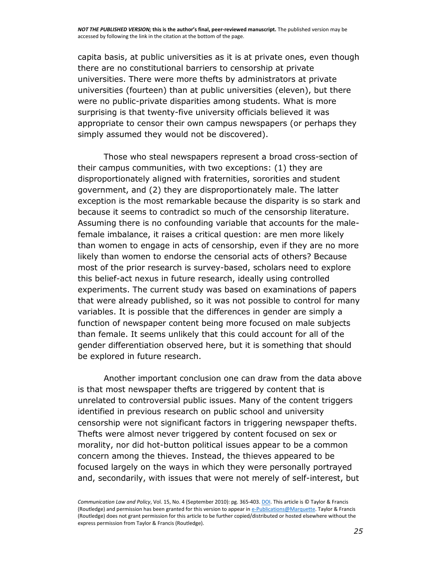capita basis, at public universities as it is at private ones, even though there are no constitutional barriers to censorship at private universities. There were more thefts by administrators at private universities (fourteen) than at public universities (eleven), but there were no public-private disparities among students. What is more surprising is that twenty-five university officials believed it was appropriate to censor their own campus newspapers (or perhaps they simply assumed they would not be discovered).

Those who steal newspapers represent a broad cross-section of their campus communities, with two exceptions: (1) they are disproportionately aligned with fraternities, sororities and student government, and (2) they are disproportionately male. The latter exception is the most remarkable because the disparity is so stark and because it seems to contradict so much of the censorship literature. Assuming there is no confounding variable that accounts for the malefemale imbalance, it raises a critical question: are men more likely than women to engage in acts of censorship, even if they are no more likely than women to endorse the censorial acts of others? Because most of the prior research is survey-based, scholars need to explore this belief-act nexus in future research, ideally using controlled experiments. The current study was based on examinations of papers that were already published, so it was not possible to control for many variables. It is possible that the differences in gender are simply a function of newspaper content being more focused on male subjects than female. It seems unlikely that this could account for all of the gender differentiation observed here, but it is something that should be explored in future research.

Another important conclusion one can draw from the data above is that most newspaper thefts are triggered by content that is unrelated to controversial public issues. Many of the content triggers identified in previous research on public school and university censorship were not significant factors in triggering newspaper thefts. Thefts were almost never triggered by content focused on sex or morality, nor did hot-button political issues appear to be a common concern among the thieves. Instead, the thieves appeared to be focused largely on the ways in which they were personally portrayed and, secondarily, with issues that were not merely of self-interest, but

*Communication Law and Policy*, Vol. 15, No. 4 (September 2010): pg. 365-403[. DOI.](http://dx.doi.org/10.1080/10811680.2010.512509) This article is © Taylor & Francis (Routledge) and permission has been granted for this version to appear i[n e-Publications@Marquette.](http://epublications.marquette.edu/) Taylor & Francis (Routledge) does not grant permission for this article to be further copied/distributed or hosted elsewhere without the express permission from Taylor & Francis (Routledge).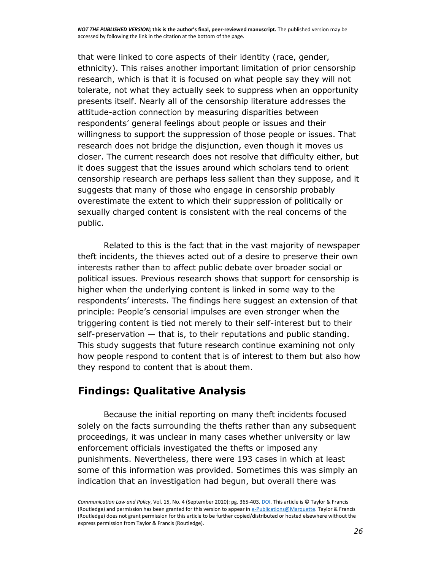that were linked to core aspects of their identity (race, gender, ethnicity). This raises another important limitation of prior censorship research, which is that it is focused on what people say they will not tolerate, not what they actually seek to suppress when an opportunity presents itself. Nearly all of the censorship literature addresses the attitude-action connection by measuring disparities between respondents' general feelings about people or issues and their willingness to support the suppression of those people or issues. That research does not bridge the disjunction, even though it moves us closer. The current research does not resolve that difficulty either, but it does suggest that the issues around which scholars tend to orient censorship research are perhaps less salient than they suppose, and it suggests that many of those who engage in censorship probably overestimate the extent to which their suppression of politically or sexually charged content is consistent with the real concerns of the public.

Related to this is the fact that in the vast majority of newspaper theft incidents, the thieves acted out of a desire to preserve their own interests rather than to affect public debate over broader social or political issues. Previous research shows that support for censorship is higher when the underlying content is linked in some way to the respondents' interests. The findings here suggest an extension of that principle: People's censorial impulses are even stronger when the triggering content is tied not merely to their self-interest but to their self-preservation — that is, to their reputations and public standing. This study suggests that future research continue examining not only how people respond to content that is of interest to them but also how they respond to content that is about them.

# **Findings: Qualitative Analysis**

Because the initial reporting on many theft incidents focused solely on the facts surrounding the thefts rather than any subsequent proceedings, it was unclear in many cases whether university or law enforcement officials investigated the thefts or imposed any punishments. Nevertheless, there were 193 cases in which at least some of this information was provided. Sometimes this was simply an indication that an investigation had begun, but overall there was

*Communication Law and Policy*, Vol. 15, No. 4 (September 2010): pg. 365-403[. DOI.](http://dx.doi.org/10.1080/10811680.2010.512509) This article is © Taylor & Francis (Routledge) and permission has been granted for this version to appear i[n e-Publications@Marquette.](http://epublications.marquette.edu/) Taylor & Francis (Routledge) does not grant permission for this article to be further copied/distributed or hosted elsewhere without the express permission from Taylor & Francis (Routledge).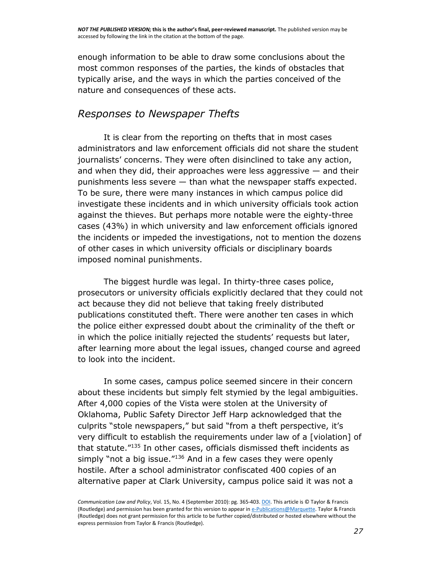enough information to be able to draw some conclusions about the most common responses of the parties, the kinds of obstacles that typically arise, and the ways in which the parties conceived of the nature and consequences of these acts.

## *Responses to Newspaper Thefts*

It is clear from the reporting on thefts that in most cases administrators and law enforcement officials did not share the student journalists' concerns. They were often disinclined to take any action, and when they did, their approaches were less aggressive  $-$  and their punishments less severe — than what the newspaper staffs expected. To be sure, there were many instances in which campus police did investigate these incidents and in which university officials took action against the thieves. But perhaps more notable were the eighty-three cases (43%) in which university and law enforcement officials ignored the incidents or impeded the investigations, not to mention the dozens of other cases in which university officials or disciplinary boards imposed nominal punishments.

The biggest hurdle was legal. In thirty-three cases police, prosecutors or university officials explicitly declared that they could not act because they did not believe that taking freely distributed publications constituted theft. There were another ten cases in which the police either expressed doubt about the criminality of the theft or in which the police initially rejected the students' requests but later, after learning more about the legal issues, changed course and agreed to look into the incident.

In some cases, campus police seemed sincere in their concern about these incidents but simply felt stymied by the legal ambiguities. After 4,000 copies of the Vista were stolen at the University of Oklahoma, Public Safety Director Jeff Harp acknowledged that the culprits "stole newspapers," but said "from a theft perspective, it's very difficult to establish the requirements under law of a [violation] of that statute."<sup>135</sup> In other cases, officials dismissed theft incidents as simply "not a big issue."<sup>136</sup> And in a few cases they were openly hostile. After a school administrator confiscated 400 copies of an alternative paper at Clark University, campus police said it was not a

*Communication Law and Policy*, Vol. 15, No. 4 (September 2010): pg. 365-403[. DOI.](http://dx.doi.org/10.1080/10811680.2010.512509) This article is © Taylor & Francis (Routledge) and permission has been granted for this version to appear i[n e-Publications@Marquette.](http://epublications.marquette.edu/) Taylor & Francis (Routledge) does not grant permission for this article to be further copied/distributed or hosted elsewhere without the express permission from Taylor & Francis (Routledge).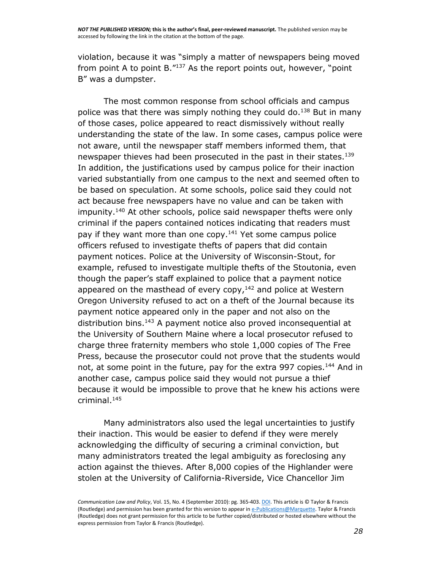violation, because it was "simply a matter of newspapers being moved from point A to point B."137 As the report points out, however, "point B" was a dumpster.

The most common response from school officials and campus police was that there was simply nothing they could do.<sup>138</sup> But in many of those cases, police appeared to react dismissively without really understanding the state of the law. In some cases, campus police were not aware, until the newspaper staff members informed them, that newspaper thieves had been prosecuted in the past in their states.<sup>139</sup> In addition, the justifications used by campus police for their inaction varied substantially from one campus to the next and seemed often to be based on speculation. At some schools, police said they could not act because free newspapers have no value and can be taken with impunity.<sup>140</sup> At other schools, police said newspaper thefts were only criminal if the papers contained notices indicating that readers must pay if they want more than one copy.<sup>141</sup> Yet some campus police officers refused to investigate thefts of papers that did contain payment notices. Police at the University of Wisconsin-Stout, for example, refused to investigate multiple thefts of the Stoutonia, even though the paper's staff explained to police that a payment notice appeared on the masthead of every copy, $142$  and police at Western Oregon University refused to act on a theft of the Journal because its payment notice appeared only in the paper and not also on the distribution bins.<sup>143</sup> A payment notice also proved inconsequential at the University of Southern Maine where a local prosecutor refused to charge three fraternity members who stole 1,000 copies of The Free Press, because the prosecutor could not prove that the students would not, at some point in the future, pay for the extra 997 copies.<sup>144</sup> And in another case, campus police said they would not pursue a thief because it would be impossible to prove that he knew his actions were criminal.<sup>145</sup>

Many administrators also used the legal uncertainties to justify their inaction. This would be easier to defend if they were merely acknowledging the difficulty of securing a criminal conviction, but many administrators treated the legal ambiguity as foreclosing any action against the thieves. After 8,000 copies of the Highlander were stolen at the University of California-Riverside, Vice Chancellor Jim

*Communication Law and Policy*, Vol. 15, No. 4 (September 2010): pg. 365-403[. DOI.](http://dx.doi.org/10.1080/10811680.2010.512509) This article is © Taylor & Francis (Routledge) and permission has been granted for this version to appear i[n e-Publications@Marquette.](http://epublications.marquette.edu/) Taylor & Francis (Routledge) does not grant permission for this article to be further copied/distributed or hosted elsewhere without the express permission from Taylor & Francis (Routledge).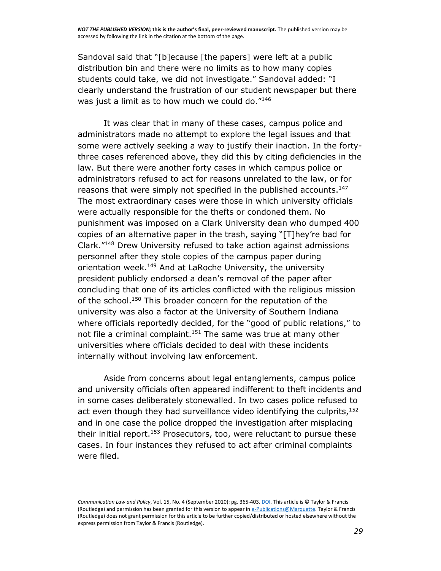Sandoval said that "[b]ecause [the papers] were left at a public distribution bin and there were no limits as to how many copies students could take, we did not investigate." Sandoval added: "I clearly understand the frustration of our student newspaper but there was just a limit as to how much we could do."<sup>146</sup>

It was clear that in many of these cases, campus police and administrators made no attempt to explore the legal issues and that some were actively seeking a way to justify their inaction. In the fortythree cases referenced above, they did this by citing deficiencies in the law. But there were another forty cases in which campus police or administrators refused to act for reasons unrelated to the law, or for reasons that were simply not specified in the published accounts.<sup>147</sup> The most extraordinary cases were those in which university officials were actually responsible for the thefts or condoned them. No punishment was imposed on a Clark University dean who dumped 400 copies of an alternative paper in the trash, saying "[T]hey're bad for Clark."<sup>148</sup> Drew University refused to take action against admissions personnel after they stole copies of the campus paper during orientation week.<sup>149</sup> And at LaRoche University, the university president publicly endorsed a dean's removal of the paper after concluding that one of its articles conflicted with the religious mission of the school.<sup>150</sup> This broader concern for the reputation of the university was also a factor at the University of Southern Indiana where officials reportedly decided, for the "good of public relations," to not file a criminal complaint.<sup>151</sup> The same was true at many other universities where officials decided to deal with these incidents internally without involving law enforcement.

Aside from concerns about legal entanglements, campus police and university officials often appeared indifferent to theft incidents and in some cases deliberately stonewalled. In two cases police refused to act even though they had surveillance video identifying the culprits,  $152$ and in one case the police dropped the investigation after misplacing their initial report.<sup>153</sup> Prosecutors, too, were reluctant to pursue these cases. In four instances they refused to act after criminal complaints were filed.

*Communication Law and Policy*, Vol. 15, No. 4 (September 2010): pg. 365-403[. DOI.](http://dx.doi.org/10.1080/10811680.2010.512509) This article is © Taylor & Francis (Routledge) and permission has been granted for this version to appear i[n e-Publications@Marquette.](http://epublications.marquette.edu/) Taylor & Francis (Routledge) does not grant permission for this article to be further copied/distributed or hosted elsewhere without the express permission from Taylor & Francis (Routledge).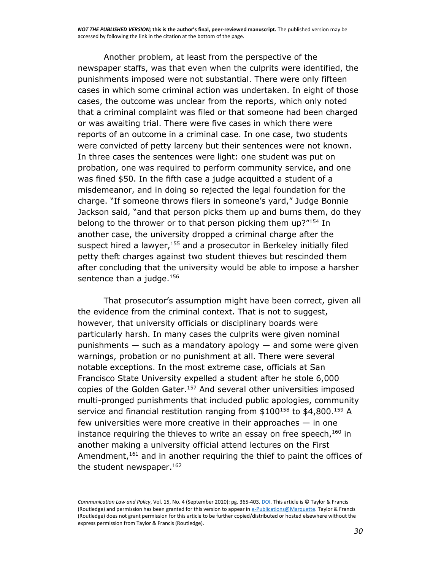Another problem, at least from the perspective of the newspaper staffs, was that even when the culprits were identified, the punishments imposed were not substantial. There were only fifteen cases in which some criminal action was undertaken. In eight of those cases, the outcome was unclear from the reports, which only noted that a criminal complaint was filed or that someone had been charged or was awaiting trial. There were five cases in which there were reports of an outcome in a criminal case. In one case, two students were convicted of petty larceny but their sentences were not known. In three cases the sentences were light: one student was put on probation, one was required to perform community service, and one was fined \$50. In the fifth case a judge acquitted a student of a misdemeanor, and in doing so rejected the legal foundation for the charge. "If someone throws fliers in someone's yard," Judge Bonnie Jackson said, "and that person picks them up and burns them, do they belong to the thrower or to that person picking them up?"<sup>154</sup> In another case, the university dropped a criminal charge after the suspect hired a lawyer,<sup>155</sup> and a prosecutor in Berkeley initially filed petty theft charges against two student thieves but rescinded them after concluding that the university would be able to impose a harsher sentence than a judge. $156$ 

That prosecutor's assumption might have been correct, given all the evidence from the criminal context. That is not to suggest, however, that university officials or disciplinary boards were particularly harsh. In many cases the culprits were given nominal punishments  $-$  such as a mandatory apology  $-$  and some were given warnings, probation or no punishment at all. There were several notable exceptions. In the most extreme case, officials at San Francisco State University expelled a student after he stole 6,000 copies of the Golden Gater.<sup>157</sup> And several other universities imposed multi-pronged punishments that included public apologies, community service and financial restitution ranging from  $$100^{158}$  to  $$4,800.^{159}$  A few universities were more creative in their approaches  $-$  in one instance requiring the thieves to write an essay on free speech,  $160$  in another making a university official attend lectures on the First Amendment,<sup>161</sup> and in another requiring the thief to paint the offices of the student newspaper.<sup>162</sup>

*Communication Law and Policy*, Vol. 15, No. 4 (September 2010): pg. 365-403[. DOI.](http://dx.doi.org/10.1080/10811680.2010.512509) This article is © Taylor & Francis (Routledge) and permission has been granted for this version to appear i[n e-Publications@Marquette.](http://epublications.marquette.edu/) Taylor & Francis (Routledge) does not grant permission for this article to be further copied/distributed or hosted elsewhere without the express permission from Taylor & Francis (Routledge).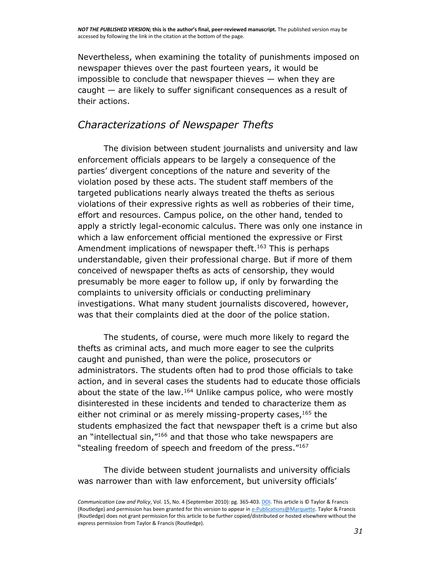Nevertheless, when examining the totality of punishments imposed on newspaper thieves over the past fourteen years, it would be impossible to conclude that newspaper thieves  $-$  when they are caught — are likely to suffer significant consequences as a result of their actions.

# *Characterizations of Newspaper Thefts*

The division between student journalists and university and law enforcement officials appears to be largely a consequence of the parties' divergent conceptions of the nature and severity of the violation posed by these acts. The student staff members of the targeted publications nearly always treated the thefts as serious violations of their expressive rights as well as robberies of their time, effort and resources. Campus police, on the other hand, tended to apply a strictly legal-economic calculus. There was only one instance in which a law enforcement official mentioned the expressive or First Amendment implications of newspaper theft.<sup>163</sup> This is perhaps understandable, given their professional charge. But if more of them conceived of newspaper thefts as acts of censorship, they would presumably be more eager to follow up, if only by forwarding the complaints to university officials or conducting preliminary investigations. What many student journalists discovered, however, was that their complaints died at the door of the police station.

The students, of course, were much more likely to regard the thefts as criminal acts, and much more eager to see the culprits caught and punished, than were the police, prosecutors or administrators. The students often had to prod those officials to take action, and in several cases the students had to educate those officials about the state of the law.<sup>164</sup> Unlike campus police, who were mostly disinterested in these incidents and tended to characterize them as either not criminal or as merely missing-property cases,  $165$  the students emphasized the fact that newspaper theft is a crime but also an "intellectual sin,"<sup>166</sup> and that those who take newspapers are "stealing freedom of speech and freedom of the press."<sup>167</sup>

The divide between student journalists and university officials was narrower than with law enforcement, but university officials'

*Communication Law and Policy*, Vol. 15, No. 4 (September 2010): pg. 365-403[. DOI.](http://dx.doi.org/10.1080/10811680.2010.512509) This article is © Taylor & Francis (Routledge) and permission has been granted for this version to appear i[n e-Publications@Marquette.](http://epublications.marquette.edu/) Taylor & Francis (Routledge) does not grant permission for this article to be further copied/distributed or hosted elsewhere without the express permission from Taylor & Francis (Routledge).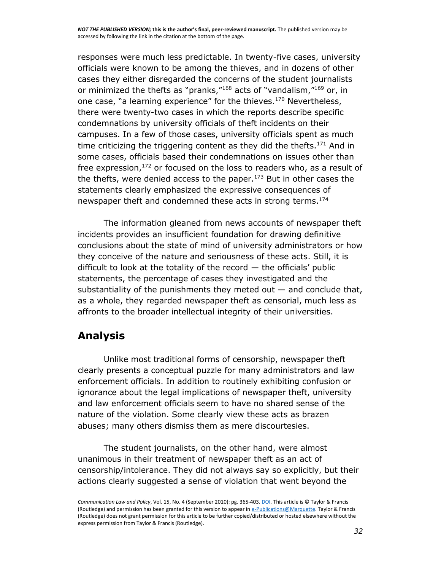*NOT THE PUBLISHED VERSION;* **this is the author's final, peer-reviewed manuscript.** The published version may be accessed by following the link in the citation at the bottom of the page.

responses were much less predictable. In twenty-five cases, university officials were known to be among the thieves, and in dozens of other cases they either disregarded the concerns of the student journalists or minimized the thefts as "pranks,"<sup>168</sup> acts of "vandalism,"<sup>169</sup> or, in one case, "a learning experience" for the thieves.<sup>170</sup> Nevertheless, there were twenty-two cases in which the reports describe specific condemnations by university officials of theft incidents on their campuses. In a few of those cases, university officials spent as much time criticizing the triggering content as they did the thefts.<sup>171</sup> And in some cases, officials based their condemnations on issues other than free expression, $172$  or focused on the loss to readers who, as a result of the thefts, were denied access to the paper. $173$  But in other cases the statements clearly emphasized the expressive consequences of newspaper theft and condemned these acts in strong terms.<sup>174</sup>

The information gleaned from news accounts of newspaper theft incidents provides an insufficient foundation for drawing definitive conclusions about the state of mind of university administrators or how they conceive of the nature and seriousness of these acts. Still, it is difficult to look at the totality of the record  $-$  the officials' public statements, the percentage of cases they investigated and the substantiality of the punishments they meted out  $-$  and conclude that, as a whole, they regarded newspaper theft as censorial, much less as affronts to the broader intellectual integrity of their universities.

#### **Analysis**

Unlike most traditional forms of censorship, newspaper theft clearly presents a conceptual puzzle for many administrators and law enforcement officials. In addition to routinely exhibiting confusion or ignorance about the legal implications of newspaper theft, university and law enforcement officials seem to have no shared sense of the nature of the violation. Some clearly view these acts as brazen abuses; many others dismiss them as mere discourtesies.

The student journalists, on the other hand, were almost unanimous in their treatment of newspaper theft as an act of censorship/intolerance. They did not always say so explicitly, but their actions clearly suggested a sense of violation that went beyond the

*Communication Law and Policy*, Vol. 15, No. 4 (September 2010): pg. 365-403[. DOI.](http://dx.doi.org/10.1080/10811680.2010.512509) This article is © Taylor & Francis (Routledge) and permission has been granted for this version to appear i[n e-Publications@Marquette.](http://epublications.marquette.edu/) Taylor & Francis (Routledge) does not grant permission for this article to be further copied/distributed or hosted elsewhere without the express permission from Taylor & Francis (Routledge).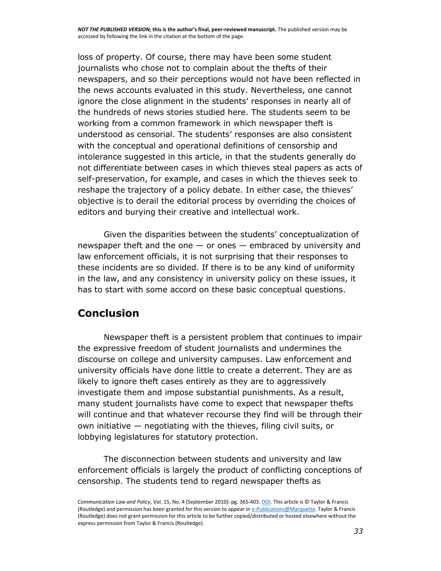loss of property. Of course, there may have been some student journalists who chose not to complain about the thefts of their newspapers, and so their perceptions would not have been reflected in the news accounts evaluated in this study. Nevertheless, one cannot ignore the close alignment in the students' responses in nearly all of the hundreds of news stories studied here. The students seem to be working from a common framework in which newspaper theft is understood as censorial. The students' responses are also consistent with the conceptual and operational definitions of censorship and intolerance suggested in this article, in that the students generally do not differentiate between cases in which thieves steal papers as acts of self-preservation, for example, and cases in which the thieves seek to reshape the trajectory of a policy debate. In either case, the thieves' objective is to derail the editorial process by overriding the choices of editors and burying their creative and intellectual work.

Given the disparities between the students' conceptualization of newspaper theft and the one  $-$  or ones  $-$  embraced by university and law enforcement officials, it is not surprising that their responses to these incidents are so divided. If there is to be any kind of uniformity in the law, and any consistency in university policy on these issues, it has to start with some accord on these basic conceptual questions.

# **Conclusion**

Newspaper theft is a persistent problem that continues to impair the expressive freedom of student journalists and undermines the discourse on college and university campuses. Law enforcement and university officials have done little to create a deterrent. They are as likely to ignore theft cases entirely as they are to aggressively investigate them and impose substantial punishments. As a result, many student journalists have come to expect that newspaper thefts will continue and that whatever recourse they find will be through their own initiative — negotiating with the thieves, filing civil suits, or lobbying legislatures for statutory protection.

The disconnection between students and university and law enforcement officials is largely the product of conflicting conceptions of censorship. The students tend to regard newspaper thefts as

*Communication Law and Policy*, Vol. 15, No. 4 (September 2010): pg. 365-403[. DOI.](http://dx.doi.org/10.1080/10811680.2010.512509) This article is © Taylor & Francis (Routledge) and permission has been granted for this version to appear i[n e-Publications@Marquette.](http://epublications.marquette.edu/) Taylor & Francis (Routledge) does not grant permission for this article to be further copied/distributed or hosted elsewhere without the express permission from Taylor & Francis (Routledge).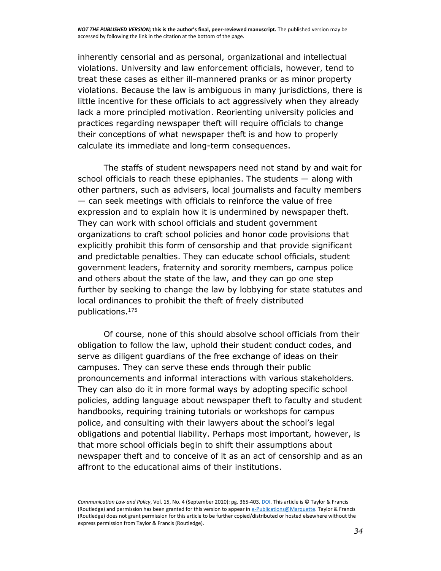inherently censorial and as personal, organizational and intellectual violations. University and law enforcement officials, however, tend to treat these cases as either ill-mannered pranks or as minor property violations. Because the law is ambiguous in many jurisdictions, there is little incentive for these officials to act aggressively when they already lack a more principled motivation. Reorienting university policies and practices regarding newspaper theft will require officials to change their conceptions of what newspaper theft is and how to properly calculate its immediate and long-term consequences.

The staffs of student newspapers need not stand by and wait for school officials to reach these epiphanies. The students — along with other partners, such as advisers, local journalists and faculty members — can seek meetings with officials to reinforce the value of free expression and to explain how it is undermined by newspaper theft. They can work with school officials and student government organizations to craft school policies and honor code provisions that explicitly prohibit this form of censorship and that provide significant and predictable penalties. They can educate school officials, student government leaders, fraternity and sorority members, campus police and others about the state of the law, and they can go one step further by seeking to change the law by lobbying for state statutes and local ordinances to prohibit the theft of freely distributed publications.<sup>175</sup>

Of course, none of this should absolve school officials from their obligation to follow the law, uphold their student conduct codes, and serve as diligent guardians of the free exchange of ideas on their campuses. They can serve these ends through their public pronouncements and informal interactions with various stakeholders. They can also do it in more formal ways by adopting specific school policies, adding language about newspaper theft to faculty and student handbooks, requiring training tutorials or workshops for campus police, and consulting with their lawyers about the school's legal obligations and potential liability. Perhaps most important, however, is that more school officials begin to shift their assumptions about newspaper theft and to conceive of it as an act of censorship and as an affront to the educational aims of their institutions.

*Communication Law and Policy*, Vol. 15, No. 4 (September 2010): pg. 365-403[. DOI.](http://dx.doi.org/10.1080/10811680.2010.512509) This article is © Taylor & Francis (Routledge) and permission has been granted for this version to appear i[n e-Publications@Marquette.](http://epublications.marquette.edu/) Taylor & Francis (Routledge) does not grant permission for this article to be further copied/distributed or hosted elsewhere without the express permission from Taylor & Francis (Routledge).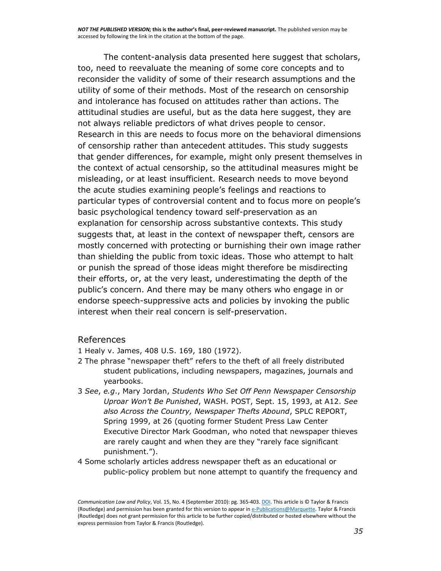The content-analysis data presented here suggest that scholars, too, need to reevaluate the meaning of some core concepts and to reconsider the validity of some of their research assumptions and the utility of some of their methods. Most of the research on censorship and intolerance has focused on attitudes rather than actions. The attitudinal studies are useful, but as the data here suggest, they are not always reliable predictors of what drives people to censor. Research in this are needs to focus more on the behavioral dimensions of censorship rather than antecedent attitudes. This study suggests that gender differences, for example, might only present themselves in the context of actual censorship, so the attitudinal measures might be misleading, or at least insufficient. Research needs to move beyond the acute studies examining people's feelings and reactions to particular types of controversial content and to focus more on people's basic psychological tendency toward self-preservation as an explanation for censorship across substantive contexts. This study suggests that, at least in the context of newspaper theft, censors are mostly concerned with protecting or burnishing their own image rather than shielding the public from toxic ideas. Those who attempt to halt or punish the spread of those ideas might therefore be misdirecting their efforts, or, at the very least, underestimating the depth of the public's concern. And there may be many others who engage in or endorse speech-suppressive acts and policies by invoking the public interest when their real concern is self-preservation.

#### References

1 Healy v. James, 408 U.S. 169, 180 (1972).

- 2 The phrase "newspaper theft" refers to the theft of all freely distributed student publications, including newspapers, magazines, journals and yearbooks.
- 3 *See*, *e.g*., Mary Jordan, *Students Who Set Off Penn Newspaper Censorship Uproar Won't Be Punished*, WASH. POST, Sept. 15, 1993, at A12. *See also Across the Country, Newspaper Thefts Abound*, SPLC REPORT, Spring 1999, at 26 (quoting former Student Press Law Center Executive Director Mark Goodman, who noted that newspaper thieves are rarely caught and when they are they "rarely face significant punishment.").
- 4 Some scholarly articles address newspaper theft as an educational or public-policy problem but none attempt to quantify the frequency and

*Communication Law and Policy*, Vol. 15, No. 4 (September 2010): pg. 365-403[. DOI.](http://dx.doi.org/10.1080/10811680.2010.512509) This article is © Taylor & Francis (Routledge) and permission has been granted for this version to appear i[n e-Publications@Marquette.](http://epublications.marquette.edu/) Taylor & Francis (Routledge) does not grant permission for this article to be further copied/distributed or hosted elsewhere without the express permission from Taylor & Francis (Routledge).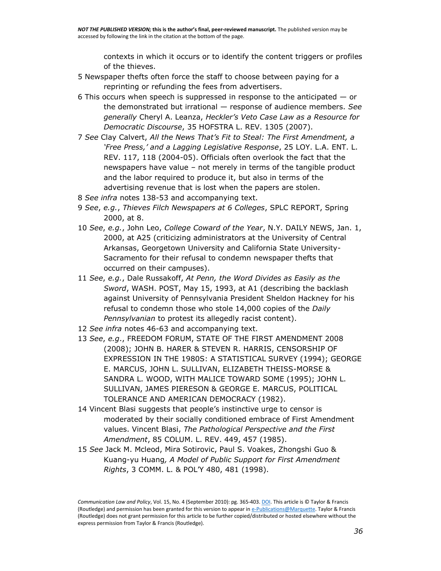contexts in which it occurs or to identify the content triggers or profiles of the thieves.

- 5 Newspaper thefts often force the staff to choose between paying for a reprinting or refunding the fees from advertisers.
- 6 This occurs when speech is suppressed in response to the anticipated  $-$  or the demonstrated but irrational — response of audience members. *See generally* Cheryl A. Leanza, *Heckler's Veto Case Law as a Resource for Democratic Discourse*, 35 HOFSTRA L. REV. 1305 (2007).
- 7 *See* Clay Calvert, *All the News That's Fit to Steal: The First Amendment, a 'Free Press,' and a Lagging Legislative Response*, 25 LOY. L.A. ENT. L. REV. 117, 118 (2004-05). Officials often overlook the fact that the newspapers have value – not merely in terms of the tangible product and the labor required to produce it, but also in terms of the advertising revenue that is lost when the papers are stolen.
- 8 *See infra* notes 138-53 and accompanying text.
- 9 *See*, *e.g.*, *Thieves Filch Newspapers at 6 Colleges*, SPLC REPORT, Spring 2000, at 8.
- 10 *See*, *e.g.*, John Leo, *College Coward of the Year*, N.Y. DAILY NEWS, Jan. 1, 2000, at A25 (criticizing administrators at the University of Central Arkansas, Georgetown University and California State University-Sacramento for their refusal to condemn newspaper thefts that occurred on their campuses).
- 11 *See*, *e.g.*, Dale Russakoff, *At Penn, the Word Divides as Easily as the Sword*, WASH. POST, May 15, 1993, at A1 (describing the backlash against University of Pennsylvania President Sheldon Hackney for his refusal to condemn those who stole 14,000 copies of the *Daily Pennsylvanian* to protest its allegedly racist content).
- 12 *See infra* notes 46-63 and accompanying text.
- 13 *See*, *e.g*., FREEDOM FORUM, STATE OF THE FIRST AMENDMENT 2008 (2008); JOHN B. HARER & STEVEN R. HARRIS, CENSORSHIP OF EXPRESSION IN THE 1980S: A STATISTICAL SURVEY (1994); GEORGE E. MARCUS, JOHN L. SULLIVAN, ELIZABETH THEISS-MORSE & SANDRA L. WOOD, WITH MALICE TOWARD SOME (1995); JOHN L. SULLIVAN, JAMES PIERESON & GEORGE E. MARCUS, POLITICAL TOLERANCE AND AMERICAN DEMOCRACY (1982).
- 14 Vincent Blasi suggests that people's instinctive urge to censor is moderated by their socially conditioned embrace of First Amendment values. Vincent Blasi, *The Pathological Perspective and the First Amendment*, 85 COLUM. L. REV. 449, 457 (1985).
- 15 *See* Jack M. Mcleod, Mira Sotirovic, Paul S. Voakes, Zhongshi Guo & Kuang-yu Huang*, A Model of Public Support for First Amendment Rights*, 3 COMM. L. & POL'Y 480, 481 (1998).

*Communication Law and Policy*, Vol. 15, No. 4 (September 2010): pg. 365-403[. DOI.](http://dx.doi.org/10.1080/10811680.2010.512509) This article is © Taylor & Francis (Routledge) and permission has been granted for this version to appear i[n e-Publications@Marquette.](http://epublications.marquette.edu/) Taylor & Francis (Routledge) does not grant permission for this article to be further copied/distributed or hosted elsewhere without the express permission from Taylor & Francis (Routledge).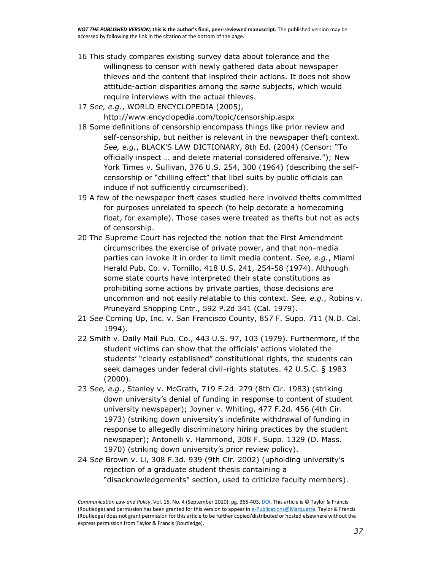- 16 This study compares existing survey data about tolerance and the willingness to censor with newly gathered data about newspaper thieves and the content that inspired their actions. It does not show attitude-action disparities among the *same* subjects, which would require interviews with the actual thieves.
- 17 *See, e.g.*, WORLD ENCYCLOPEDIA (2005),

http://www.encyclopedia.com/topic/censorship.aspx

- 18 Some definitions of censorship encompass things like prior review and self-censorship, but neither is relevant in the newspaper theft context. *See, e.g.*, BLACK'S LAW DICTIONARY, 8th Ed. (2004) (Censor: "To officially inspect … and delete material considered offensive."); New York Times v. Sullivan, 376 U.S. 254, 300 (1964) (describing the selfcensorship or "chilling effect" that libel suits by public officials can induce if not sufficiently circumscribed).
- 19 A few of the newspaper theft cases studied here involved thefts committed for purposes unrelated to speech (to help decorate a homecoming float, for example). Those cases were treated as thefts but not as acts of censorship.
- 20 The Supreme Court has rejected the notion that the First Amendment circumscribes the exercise of private power, and that non-media parties can invoke it in order to limit media content. *See, e.g.*, Miami Herald Pub. Co. v. Tornillo, 418 U.S. 241, 254-58 (1974). Although some state courts have interpreted their state constitutions as prohibiting some actions by private parties, those decisions are uncommon and not easily relatable to this context. *See, e.g.*, Robins v. Pruneyard Shopping Cntr., 592 P.2d 341 (Cal. 1979).
- 21 *See* Coming Up, Inc. v. San Francisco County, 857 F. Supp. 711 (N.D. Cal. 1994).
- 22 Smith v. Daily Mail Pub. Co., 443 U.S. 97, 103 (1979). Furthermore, if the student victims can show that the officials' actions violated the students' "clearly established" constitutional rights, the students can seek damages under federal civil-rights statutes. 42 U.S.C. § 1983 (2000).
- 23 *See, e.g.*, Stanley v. McGrath, 719 F.2d. 279 (8th Cir. 1983) (striking down university's denial of funding in response to content of student university newspaper); Joyner v. Whiting, 477 F.2d. 456 (4th Cir. 1973) (striking down university's indefinite withdrawal of funding in response to allegedly discriminatory hiring practices by the student newspaper); Antonelli v. Hammond, 308 F. Supp. 1329 (D. Mass. 1970) (striking down university's prior review policy).
- 24 *See* Brown v. Li, 308 F.3d. 939 (9th Cir. 2002) (upholding university's rejection of a graduate student thesis containing a "disacknowledgements" section, used to criticize faculty members).

*Communication Law and Policy*, Vol. 15, No. 4 (September 2010): pg. 365-403[. DOI.](http://dx.doi.org/10.1080/10811680.2010.512509) This article is © Taylor & Francis (Routledge) and permission has been granted for this version to appear i[n e-Publications@Marquette.](http://epublications.marquette.edu/) Taylor & Francis (Routledge) does not grant permission for this article to be further copied/distributed or hosted elsewhere without the express permission from Taylor & Francis (Routledge).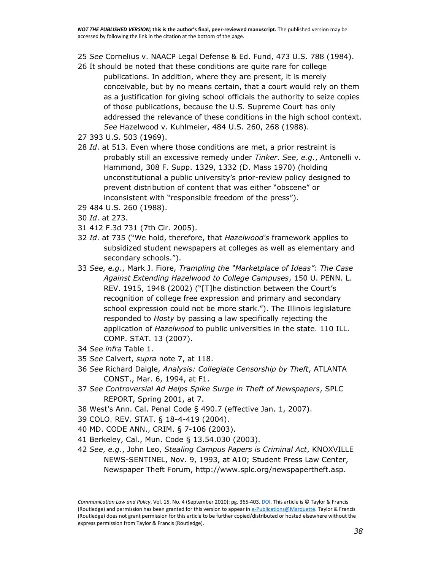*NOT THE PUBLISHED VERSION;* **this is the author's final, peer-reviewed manuscript.** The published version may be accessed by following the link in the citation at the bottom of the page.

25 *See* Cornelius v. NAACP Legal Defense & Ed. Fund, 473 U.S. 788 (1984).

- 26 It should be noted that these conditions are quite rare for college publications. In addition, where they are present, it is merely conceivable, but by no means certain, that a court would rely on them as a justification for giving school officials the authority to seize copies of those publications, because the U.S. Supreme Court has only addressed the relevance of these conditions in the high school context. *See* Hazelwood v. Kuhlmeier, 484 U.S. 260, 268 (1988).
- 27 393 U.S. 503 (1969).
- 28 *Id*. at 513. Even where those conditions are met, a prior restraint is probably still an excessive remedy under *Tinker*. *See*, *e.g.*, Antonelli v. Hammond, 308 F. Supp. 1329, 1332 (D. Mass 1970) (holding unconstitutional a public university's prior-review policy designed to prevent distribution of content that was either "obscene" or inconsistent with "responsible freedom of the press").
- 29 484 U.S. 260 (1988).
- 30 *Id*. at 273.
- 31 412 F.3d 731 (7th Cir. 2005).
- 32 *Id*. at 735 ("We hold, therefore, that *Hazelwood's* framework applies to subsidized student newspapers at colleges as well as elementary and secondary schools.").
- 33 *See*, *e.g.*, Mark J. Fiore, *Trampling the "Marketplace of Ideas": The Case Against Extending Hazelwood to College Campuses*, 150 U. PENN. L. REV. 1915, 1948 (2002) ("[T]he distinction between the Court's recognition of college free expression and primary and secondary school expression could not be more stark."). The Illinois legislature responded to *Hosty* by passing a law specifically rejecting the application of *Hazelwood* to public universities in the state. 110 ILL. COMP. STAT. 13 (2007).
- 34 *See infra* Table 1.
- 35 *See* Calvert, *supra* note 7, at 118.
- 36 *See* Richard Daigle, *Analysis: Collegiate Censorship by Theft*, ATLANTA CONST., Mar. 6, 1994, at F1.
- 37 *See Controversial Ad Helps Spike Surge in Theft of Newspapers*, SPLC REPORT, Spring 2001, at 7.
- 38 West's Ann. Cal. Penal Code § 490.7 (effective Jan. 1, 2007).
- 39 COLO. REV. STAT. § 18-4-419 (2004).
- 40 MD. CODE ANN., CRIM. § 7-106 (2003).
- 41 Berkeley, Cal., Mun. Code § 13.54.030 (2003).
- 42 *See*, *e.g.*, John Leo, *Stealing Campus Papers is Criminal Act*, KNOXVILLE NEWS-SENTINEL, Nov. 9, 1993, at A10; Student Press Law Center, Newspaper Theft Forum, http://www.splc.org/newspapertheft.asp.

*Communication Law and Policy*, Vol. 15, No. 4 (September 2010): pg. 365-403[. DOI.](http://dx.doi.org/10.1080/10811680.2010.512509) This article is © Taylor & Francis (Routledge) and permission has been granted for this version to appear i[n e-Publications@Marquette.](http://epublications.marquette.edu/) Taylor & Francis (Routledge) does not grant permission for this article to be further copied/distributed or hosted elsewhere without the express permission from Taylor & Francis (Routledge).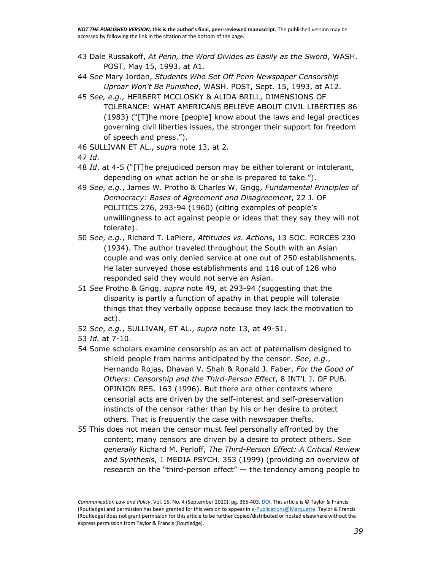- 43 Dale Russakoff, *At Penn, the Word Divides as Easily as the Sword*, WASH. POST, May 15, 1993, at A1.
- 44 *See* Mary Jordan, *Students Who Set Off Penn Newspaper Censorship Uproar Won't Be Punished*, WASH. POST, Sept. 15, 1993, at A12.
- 45 *See, e.g.,* HERBERT MCCLOSKY & ALIDA BRILL, DIMENSIONS OF TOLERANCE: WHAT AMERICANS BELIEVE ABOUT CIVIL LIBERTIES 86 (1983) ("[T]he more [people] know about the laws and legal practices governing civil liberties issues, the stronger their support for freedom of speech and press.").
- 46 SULLIVAN ET AL., *supra* note 13, at 2.
- 47 *Id*.
- 48 *Id*. at 4-5 ("[T]he prejudiced person may be either tolerant or intolerant, depending on what action he or she is prepared to take.").
- 49 *See*, *e.g.*, James W. Protho & Charles W. Grigg, *Fundamental Principles of Democracy: Bases of Agreement and Disagreement*, 22 J. OF POLITICS 276, 293-94 (1960) (citing examples of people's unwillingness to act against people or ideas that they say they will not tolerate).
- 50 *See*, *e.g.*, Richard T. LaPiere, *Attitudes vs. Actions*, 13 SOC. FORCES 230 (1934). The author traveled throughout the South with an Asian couple and was only denied service at one out of 250 establishments. He later surveyed those establishments and 118 out of 128 who responded said they would not serve an Asian.
- 51 *See* Protho & Grigg, *supra* note 49, at 293-94 (suggesting that the disparity is partly a function of apathy in that people will tolerate things that they verbally oppose because they lack the motivation to act).
- 52 *See*, *e.g.*, SULLIVAN, ET AL., *supra* note 13, at 49-51.
- 53 *Id.* at 7-10.
- 54 Some scholars examine censorship as an act of paternalism designed to shield people from harms anticipated by the censor. *See*, *e.g.*, Hernando Rojas, Dhavan V. Shah & Ronald J. Faber, *For the Good of Others: Censorship and the Third-Person Effect*, 8 INT'L J. OF PUB. OPINION RES. 163 (1996). But there are other contexts where censorial acts are driven by the self-interest and self-preservation instincts of the censor rather than by his or her desire to protect others. That is frequently the case with newspaper thefts.
- 55 This does not mean the censor must feel personally affronted by the content; many censors are driven by a desire to protect others. *See generally* Richard M. Perloff, *The Third-Person Effect: A Critical Review and Synthesis*, 1 MEDIA PSYCH. 353 (1999) (providing an overview of research on the "third-person effect"  $-$  the tendency among people to

*Communication Law and Policy*, Vol. 15, No. 4 (September 2010): pg. 365-403[. DOI.](http://dx.doi.org/10.1080/10811680.2010.512509) This article is © Taylor & Francis (Routledge) and permission has been granted for this version to appear i[n e-Publications@Marquette.](http://epublications.marquette.edu/) Taylor & Francis (Routledge) does not grant permission for this article to be further copied/distributed or hosted elsewhere without the express permission from Taylor & Francis (Routledge).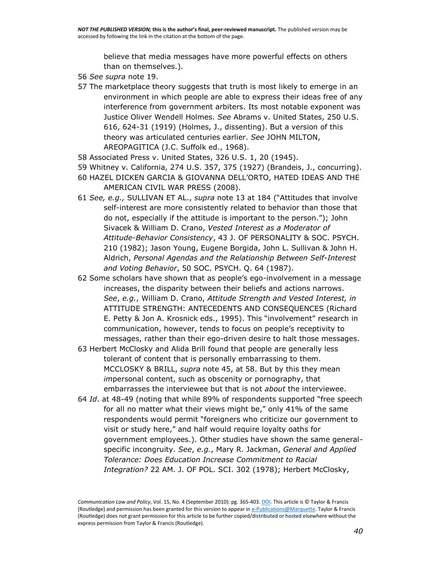believe that media messages have more powerful effects on others than on themselves.).

- 56 *See supra* note 19.
- 57 The marketplace theory suggests that truth is most likely to emerge in an environment in which people are able to express their ideas free of any interference from government arbiters. Its most notable exponent was Justice Oliver Wendell Holmes. *See* Abrams v. United States, 250 U.S. 616, 624-31 (1919) (Holmes, J., dissenting). But a version of this theory was articulated centuries earlier. *See* JOHN MILTON, AREOPAGITICA (J.C. Suffolk ed., 1968).
- 58 Associated Press v. United States, 326 U.S. 1, 20 (1945).
- 59 Whitney v. California, 274 U.S. 357, 375 (1927) (Brandeis, J., concurring).
- 60 HAZEL DICKEN GARCIA & GIOVANNA DELL'ORTO, HATED IDEAS AND THE AMERICAN CIVIL WAR PRESS (2008).
- 61 *See, e.g.,* SULLIVAN ET AL., *supra* note 13 at 184 ("Attitudes that involve self-interest are more consistently related to behavior than those that do not, especially if the attitude is important to the person."); John Sivacek & William D. Crano, *Vested Interest as a Moderator of Attitude-Behavior Consistency*, 43 J. OF PERSONALITY & SOC. PSYCH. 210 (1982); Jason Young, Eugene Borgida, John L. Sullivan & John H. Aldrich, *Personal Agendas and the Relationship Between Self-Interest and Voting Behavior*, 50 SOC. PSYCH. Q. 64 (1987).
- 62 Some scholars have shown that as people's ego-involvement in a message increases, the disparity between their beliefs and actions narrows. *See*, *e.g.*, William D. Crano, *Attitude Strength and Vested Interest, in*  ATTITUDE STRENGTH: ANTECEDENTS AND CONSEQUENCES (Richard E. Petty & Jon A. Krosnick eds., 1995). This "involvement" research in communication, however, tends to focus on people's receptivity to messages, rather than their ego-driven desire to halt those messages.
- 63 Herbert McClosky and Alida Brill found that people are generally less tolerant of content that is personally embarrassing to them. MCCLOSKY & BRILL, *supra* note 45, at 58. But by this they mean *im*personal content, such as obscenity or pornography, that embarrasses the interviewee but that is not *about* the interviewee.
- 64 *Id*. at 48-49 (noting that while 89% of respondents supported "free speech for all no matter what their views might be," only 41% of the same respondents would permit "foreigners who criticize our government to visit or study here," and half would require loyalty oaths for government employees.). Other studies have shown the same generalspecific incongruity. *See*, *e.g.*, Mary R. Jackman, *General and Applied Tolerance: Does Education Increase Commitment to Racial Integration?* 22 AM. J. OF POL. SCI. 302 (1978); Herbert McClosky,

*Communication Law and Policy*, Vol. 15, No. 4 (September 2010): pg. 365-403[. DOI.](http://dx.doi.org/10.1080/10811680.2010.512509) This article is © Taylor & Francis (Routledge) and permission has been granted for this version to appear i[n e-Publications@Marquette.](http://epublications.marquette.edu/) Taylor & Francis (Routledge) does not grant permission for this article to be further copied/distributed or hosted elsewhere without the express permission from Taylor & Francis (Routledge).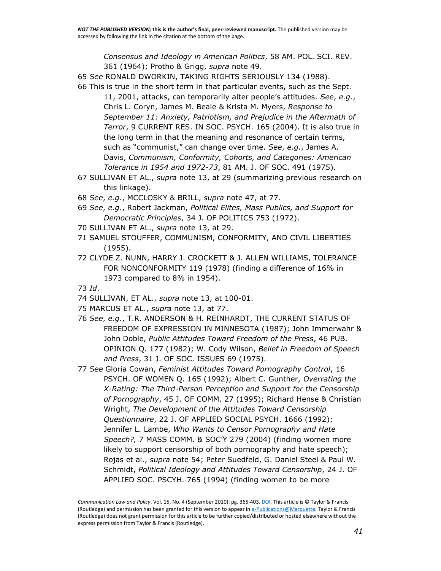*Consensus and Ideology in American Politics*, 58 AM. POL. SCI. REV. 361 (1964); Protho & Grigg, *supra* note 49.

65 *See* RONALD DWORKIN, TAKING RIGHTS SERIOUSLY 134 (1988).

66 This is true in the short term in that particular events**,** such as the Sept.

11, 2001, attacks, can temporarily alter people's attitudes. *See*, *e.g.*, Chris L. Coryn, James M. Beale & Krista M. Myers, *Response to September 11: Anxiety, Patriotism, and Prejudice in the Aftermath of Terror*, 9 CURRENT RES. IN SOC. PSYCH. 165 (2004). It is also true in the long term in that the meaning and resonance of certain terms, such as "communist," can change over time. *See*, *e.g.*, James A. Davis, *Communism, Conformity, Cohorts, and Categories: American Tolerance in 1954 and 1972-73*, 81 AM. J. OF SOC. 491 (1975).

- 67 SULLIVAN ET AL., *supra* note 13, at 29 (summarizing previous research on this linkage).
- 68 *See*, *e.g.*, MCCLOSKY & BRILL, *supra* note 47, at 77.
- 69 *See*, *e.g.*, Robert Jackman, *Political Elites, Mass Publics, and Support for Democratic Principles*, 34 J. OF POLITICS 753 (1972).
- 70 SULLIVAN ET AL., *supra* note 13, at 29.
- 71 SAMUEL STOUFFER, COMMUNISM, CONFORMITY, AND CIVIL LIBERTIES (1955).
- 72 CLYDE Z. NUNN, HARRY J. CROCKETT & J. ALLEN WILLIAMS, TOLERANCE FOR NONCONFORMITY 119 (1978) (finding a difference of 16% in 1973 compared to 8% in 1954).
- 73 *Id*.
- 74 SULLIVAN, ET AL., *supra* note 13, at 100-01.
- 75 MARCUS ET AL., *supra* note 13, at 77.
- 76 *See*, *e.g.*, T.R. ANDERSON & H. REINHARDT, THE CURRENT STATUS OF FREEDOM OF EXPRESSION IN MINNESOTA (1987); John Immerwahr & John Doble, *Public Attitudes Toward Freedom of the Press*, 46 PUB. OPINION Q. 177 (1982); W. Cody Wilson, *Belief in Freedom of Speech and Press*, 31 J. OF SOC. ISSUES 69 (1975).
- 77 *See* Gloria Cowan, *Feminist Attitudes Toward Pornography Control*, 16 PSYCH. OF WOMEN Q. 165 (1992); Albert C. Gunther, *Overrating the X-Rating: The Third-Person Perception and Support for the Censorship of Pornography*, 45 J. OF COMM. 27 (1995); Richard Hense & Christian Wright, *The Development of the Attitudes Toward Censorship Questionnaire*, 22 J. OF APPLIED SOCIAL PSYCH. 1666 (1992); Jennifer L. Lambe, *Who Wants to Censor Pornography and Hate Speech?,* 7 MASS COMM. & SOC'Y 279 (2004) (finding women more likely to support censorship of both pornography and hate speech); Rojas et al., *supra* note 54; Peter Suedfeld, G. Daniel Steel & Paul W. Schmidt, *Political Ideology and Attitudes Toward Censorship*, 24 J. OF APPLIED SOC. PSCYH. 765 (1994) (finding women to be more

*Communication Law and Policy*, Vol. 15, No. 4 (September 2010): pg. 365-403[. DOI.](http://dx.doi.org/10.1080/10811680.2010.512509) This article is © Taylor & Francis (Routledge) and permission has been granted for this version to appear i[n e-Publications@Marquette.](http://epublications.marquette.edu/) Taylor & Francis (Routledge) does not grant permission for this article to be further copied/distributed or hosted elsewhere without the express permission from Taylor & Francis (Routledge).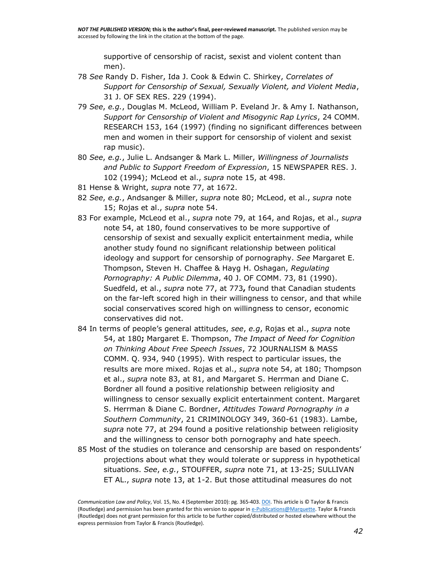supportive of censorship of racist, sexist and violent content than men).

- 78 *See* Randy D. Fisher, Ida J. Cook & Edwin C. Shirkey, *Correlates of Support for Censorship of Sexual, Sexually Violent, and Violent Media*, 31 J. OF SEX RES. 229 (1994).
- 79 *See*, *e.g.*, Douglas M. McLeod, William P. Eveland Jr. & Amy I. Nathanson, *Support for Censorship of Violent and Misogynic Rap Lyrics*, 24 COMM. RESEARCH 153, 164 (1997) (finding no significant differences between men and women in their support for censorship of violent and sexist rap music).
- 80 *See*, *e.g.*, Julie L. Andsanger & Mark L. Miller, *Willingness of Journalists and Public to Support Freedom of Expression*, 15 NEWSPAPER RES. J. 102 (1994); McLeod et al., *supra* note 15, at 498.
- 81 Hense & Wright, *supra* note 77, at 1672.
- 82 *See*, *e.g.*, Andsanger & Miller, *supra* note 80; McLeod, et al., *supra* note 15; Rojas et al., *supra* note 54.
- 83 For example, McLeod et al., *supra* note 79, at 164, and Rojas, et al., *supra*  note 54, at 180, found conservatives to be more supportive of censorship of sexist and sexually explicit entertainment media, while another study found no significant relationship between political ideology and support for censorship of pornography. *See* Margaret E. Thompson, Steven H. Chaffee & Hayg H. Oshagan, *Regulating Pornography: A Public Dilemma*, 40 J. OF COMM. 73, 81 (1990). Suedfeld, et al., *supra* note 77, at 773**,** found that Canadian students on the far-left scored high in their willingness to censor, and that while social conservatives scored high on willingness to censor, economic conservatives did not.
- 84 In terms of people's general attitudes, *see*, *e.g*, Rojas et al., *supra* note 54, at 180**;** Margaret E. Thompson, *The Impact of Need for Cognition on Thinking About Free Speech Issues*, 72 JOURNALISM & MASS COMM. Q. 934, 940 (1995). With respect to particular issues, the results are more mixed. Rojas et al., *supra* note 54, at 180; Thompson et al., *supra* note 83, at 81, and Margaret S. Herrman and Diane C. Bordner all found a positive relationship between religiosity and willingness to censor sexually explicit entertainment content. Margaret S. Herrman & Diane C. Bordner, *Attitudes Toward Pornography in a Southern Community*, 21 CRIMINOLOGY 349, 360-61 (1983). Lambe, *supra* note 77, at 294 found a positive relationship between religiosity and the willingness to censor both pornography and hate speech.
- 85 Most of the studies on tolerance and censorship are based on respondents' projections about what they would tolerate or suppress in hypothetical situations. *See*, *e.g.*, STOUFFER, *supra* note 71, at 13-25; SULLIVAN ET AL., *supra* note 13, at 1-2. But those attitudinal measures do not

*Communication Law and Policy*, Vol. 15, No. 4 (September 2010): pg. 365-403[. DOI.](http://dx.doi.org/10.1080/10811680.2010.512509) This article is © Taylor & Francis (Routledge) and permission has been granted for this version to appear i[n e-Publications@Marquette.](http://epublications.marquette.edu/) Taylor & Francis (Routledge) does not grant permission for this article to be further copied/distributed or hosted elsewhere without the express permission from Taylor & Francis (Routledge).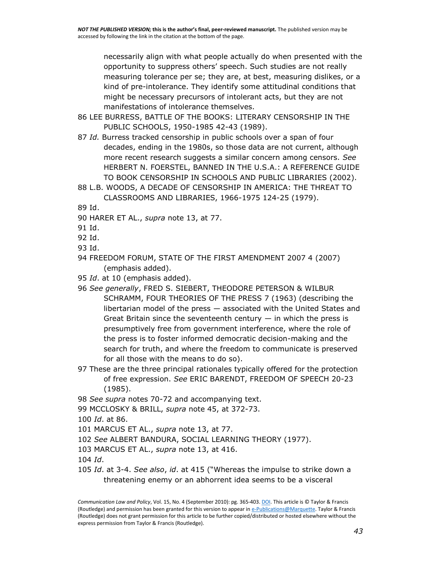necessarily align with what people actually do when presented with the opportunity to suppress others' speech. Such studies are not really measuring tolerance per se; they are, at best, measuring dislikes, or a kind of pre-intolerance. They identify some attitudinal conditions that might be necessary precursors of intolerant acts, but they are not manifestations of intolerance themselves.

- 86 LEE BURRESS, BATTLE OF THE BOOKS: LITERARY CENSORSHIP IN THE PUBLIC SCHOOLS, 1950-1985 42-43 (1989).
- 87 *Id.* Burress tracked censorship in public schools over a span of four decades, ending in the 1980s, so those data are not current, although more recent research suggests a similar concern among censors. *See*  HERBERT N. FOERSTEL, BANNED IN THE U.S.A.: A REFERENCE GUIDE TO BOOK CENSORSHIP IN SCHOOLS AND PUBLIC LIBRARIES (2002).
- 88 L.B. WOODS, A DECADE OF CENSORSHIP IN AMERICA: THE THREAT TO CLASSROOMS AND LIBRARIES, 1966-1975 124-25 (1979).

89 Id.

- 90 HARER ET AL., *supra* note 13, at 77.
- 91 Id.

92 Id.

- 93 Id.
- 94 FREEDOM FORUM, STATE OF THE FIRST AMENDMENT 2007 4 (2007) (emphasis added).
- 95 *Id*. at 10 (emphasis added).
- 96 *See generally*, FRED S. SIEBERT, THEODORE PETERSON & WILBUR SCHRAMM, FOUR THEORIES OF THE PRESS 7 (1963) (describing the libertarian model of the press — associated with the United States and Great Britain since the seventeenth century  $-$  in which the press is presumptively free from government interference, where the role of the press is to foster informed democratic decision-making and the search for truth, and where the freedom to communicate is preserved for all those with the means to do so).
- 97 These are the three principal rationales typically offered for the protection of free expression. *See* ERIC BARENDT, FREEDOM OF SPEECH 20-23 (1985).
- 98 *See supra* notes 70-72 and accompanying text.
- 99 MCCLOSKY & BRILL, *supra* note 45, at 372-73.
- 100 *Id*. at 86.
- 101 MARCUS ET AL., *supra* note 13, at 77.
- 102 *See* ALBERT BANDURA, SOCIAL LEARNING THEORY (1977).
- 103 MARCUS ET AL., *supra* note 13, at 416.
- 104 *Id*.
- 105 *Id*. at 3-4. *See also*, *id*. at 415 ("Whereas the impulse to strike down a threatening enemy or an abhorrent idea seems to be a visceral

*Communication Law and Policy*, Vol. 15, No. 4 (September 2010): pg. 365-403[. DOI.](http://dx.doi.org/10.1080/10811680.2010.512509) This article is © Taylor & Francis (Routledge) and permission has been granted for this version to appear i[n e-Publications@Marquette.](http://epublications.marquette.edu/) Taylor & Francis (Routledge) does not grant permission for this article to be further copied/distributed or hosted elsewhere without the express permission from Taylor & Francis (Routledge).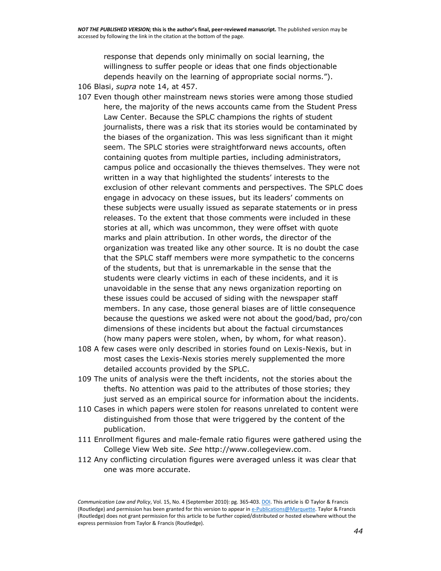response that depends only minimally on social learning, the willingness to suffer people or ideas that one finds objectionable depends heavily on the learning of appropriate social norms.").

- 106 Blasi, *supra* note 14, at 457.
- 107 Even though other mainstream news stories were among those studied here, the majority of the news accounts came from the Student Press Law Center. Because the SPLC champions the rights of student journalists, there was a risk that its stories would be contaminated by the biases of the organization. This was less significant than it might seem. The SPLC stories were straightforward news accounts, often containing quotes from multiple parties, including administrators, campus police and occasionally the thieves themselves. They were not written in a way that highlighted the students' interests to the exclusion of other relevant comments and perspectives. The SPLC does engage in advocacy on these issues, but its leaders' comments on these subjects were usually issued as separate statements or in press releases. To the extent that those comments were included in these stories at all, which was uncommon, they were offset with quote marks and plain attribution. In other words, the director of the organization was treated like any other source. It is no doubt the case that the SPLC staff members were more sympathetic to the concerns of the students, but that is unremarkable in the sense that the students were clearly victims in each of these incidents, and it is unavoidable in the sense that any news organization reporting on these issues could be accused of siding with the newspaper staff members. In any case, those general biases are of little consequence because the questions we asked were not about the good/bad, pro/con dimensions of these incidents but about the factual circumstances (how many papers were stolen, when, by whom, for what reason).
- 108 A few cases were only described in stories found on Lexis-Nexis, but in most cases the Lexis-Nexis stories merely supplemented the more detailed accounts provided by the SPLC.
- 109 The units of analysis were the theft incidents, not the stories about the thefts. No attention was paid to the attributes of those stories; they just served as an empirical source for information about the incidents.
- 110 Cases in which papers were stolen for reasons unrelated to content were distinguished from those that were triggered by the content of the publication.
- 111 Enrollment figures and male-female ratio figures were gathered using the College View Web site. *See* http://www.collegeview.com.
- 112 Any conflicting circulation figures were averaged unless it was clear that one was more accurate.

*Communication Law and Policy*, Vol. 15, No. 4 (September 2010): pg. 365-403[. DOI.](http://dx.doi.org/10.1080/10811680.2010.512509) This article is © Taylor & Francis (Routledge) and permission has been granted for this version to appear i[n e-Publications@Marquette.](http://epublications.marquette.edu/) Taylor & Francis (Routledge) does not grant permission for this article to be further copied/distributed or hosted elsewhere without the express permission from Taylor & Francis (Routledge).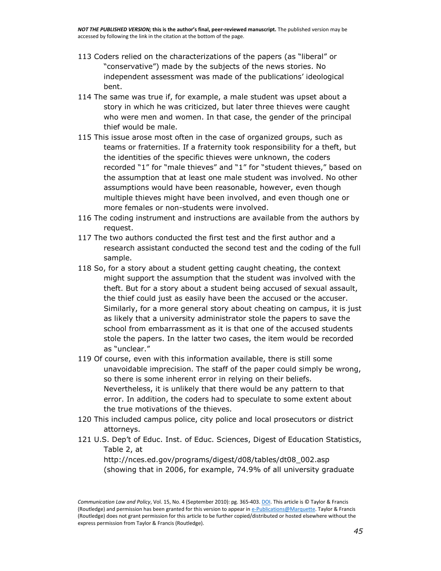- 113 Coders relied on the characterizations of the papers (as "liberal" or "conservative") made by the subjects of the news stories. No independent assessment was made of the publications' ideological bent.
- 114 The same was true if, for example, a male student was upset about a story in which he was criticized, but later three thieves were caught who were men and women. In that case, the gender of the principal thief would be male.
- 115 This issue arose most often in the case of organized groups, such as teams or fraternities. If a fraternity took responsibility for a theft, but the identities of the specific thieves were unknown, the coders recorded "1" for "male thieves" and "1" for "student thieves," based on the assumption that at least one male student was involved. No other assumptions would have been reasonable, however, even though multiple thieves might have been involved, and even though one or more females or non-students were involved.
- 116 The coding instrument and instructions are available from the authors by request.
- 117 The two authors conducted the first test and the first author and a research assistant conducted the second test and the coding of the full sample.
- 118 So, for a story about a student getting caught cheating, the context might support the assumption that the student was involved with the theft. But for a story about a student being accused of sexual assault, the thief could just as easily have been the accused or the accuser. Similarly, for a more general story about cheating on campus, it is just as likely that a university administrator stole the papers to save the school from embarrassment as it is that one of the accused students stole the papers. In the latter two cases, the item would be recorded as "unclear."
- 119 Of course, even with this information available, there is still some unavoidable imprecision. The staff of the paper could simply be wrong, so there is some inherent error in relying on their beliefs. Nevertheless, it is unlikely that there would be any pattern to that error. In addition, the coders had to speculate to some extent about the true motivations of the thieves.
- 120 This included campus police, city police and local prosecutors or district attorneys.
- 121 U.S. Dep't of Educ. Inst. of Educ. Sciences, Digest of Education Statistics, Table 2, at

http://nces.ed.gov/programs/digest/d08/tables/dt08\_002.asp (showing that in 2006, for example, 74.9% of all university graduate

*Communication Law and Policy*, Vol. 15, No. 4 (September 2010): pg. 365-403[. DOI.](http://dx.doi.org/10.1080/10811680.2010.512509) This article is © Taylor & Francis (Routledge) and permission has been granted for this version to appear i[n e-Publications@Marquette.](http://epublications.marquette.edu/) Taylor & Francis (Routledge) does not grant permission for this article to be further copied/distributed or hosted elsewhere without the express permission from Taylor & Francis (Routledge).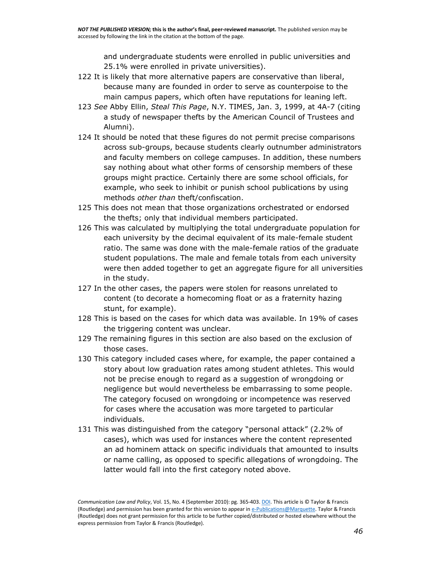and undergraduate students were enrolled in public universities and 25.1% were enrolled in private universities).

- 122 It is likely that more alternative papers are conservative than liberal, because many are founded in order to serve as counterpoise to the main campus papers, which often have reputations for leaning left.
- 123 *See* Abby Ellin, *Steal This Page*, N.Y. TIMES, Jan. 3, 1999, at 4A-7 (citing a study of newspaper thefts by the American Council of Trustees and Alumni).
- 124 It should be noted that these figures do not permit precise comparisons across sub-groups, because students clearly outnumber administrators and faculty members on college campuses. In addition, these numbers say nothing about what other forms of censorship members of these groups might practice. Certainly there are some school officials, for example, who seek to inhibit or punish school publications by using methods *other than* theft/confiscation.
- 125 This does not mean that those organizations orchestrated or endorsed the thefts; only that individual members participated.
- 126 This was calculated by multiplying the total undergraduate population for each university by the decimal equivalent of its male-female student ratio. The same was done with the male-female ratios of the graduate student populations. The male and female totals from each university were then added together to get an aggregate figure for all universities in the study.
- 127 In the other cases, the papers were stolen for reasons unrelated to content (to decorate a homecoming float or as a fraternity hazing stunt, for example).
- 128 This is based on the cases for which data was available. In 19% of cases the triggering content was unclear.
- 129 The remaining figures in this section are also based on the exclusion of those cases.
- 130 This category included cases where, for example, the paper contained a story about low graduation rates among student athletes. This would not be precise enough to regard as a suggestion of wrongdoing or negligence but would nevertheless be embarrassing to some people. The category focused on wrongdoing or incompetence was reserved for cases where the accusation was more targeted to particular individuals.
- 131 This was distinguished from the category "personal attack" (2.2% of cases), which was used for instances where the content represented an ad hominem attack on specific individuals that amounted to insults or name calling, as opposed to specific allegations of wrongdoing. The latter would fall into the first category noted above.

*Communication Law and Policy*, Vol. 15, No. 4 (September 2010): pg. 365-403[. DOI.](http://dx.doi.org/10.1080/10811680.2010.512509) This article is © Taylor & Francis (Routledge) and permission has been granted for this version to appear i[n e-Publications@Marquette.](http://epublications.marquette.edu/) Taylor & Francis (Routledge) does not grant permission for this article to be further copied/distributed or hosted elsewhere without the express permission from Taylor & Francis (Routledge).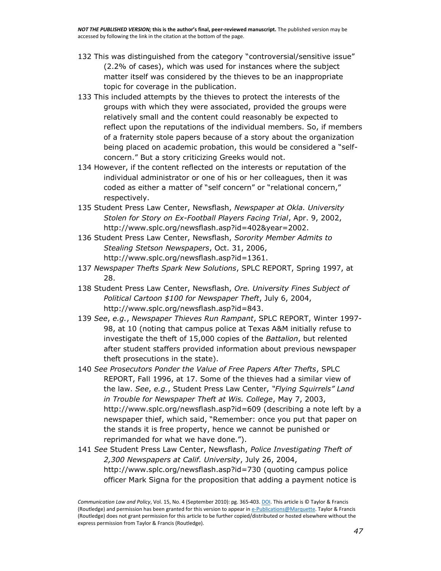- 132 This was distinguished from the category "controversial/sensitive issue" (2.2% of cases), which was used for instances where the subject matter itself was considered by the thieves to be an inappropriate topic for coverage in the publication.
- 133 This included attempts by the thieves to protect the interests of the groups with which they were associated, provided the groups were relatively small and the content could reasonably be expected to reflect upon the reputations of the individual members. So, if members of a fraternity stole papers because of a story about the organization being placed on academic probation, this would be considered a "selfconcern." But a story criticizing Greeks would not.
- 134 However, if the content reflected on the interests or reputation of the individual administrator or one of his or her colleagues, then it was coded as either a matter of "self concern" or "relational concern," respectively.
- 135 Student Press Law Center, Newsflash, *Newspaper at Okla. University Stolen for Story on Ex-Football Players Facing Trial*, Apr. 9, 2002, http://www.splc.org/newsflash.asp?id=402&year=2002.
- 136 Student Press Law Center, Newsflash, *Sorority Member Admits to Stealing Stetson Newspapers*, Oct. 31, 2006, http://www.splc.org/newsflash.asp?id=1361.
- 137 *Newspaper Thefts Spark New Solutions*, SPLC REPORT, Spring 1997, at 28.
- 138 Student Press Law Center, Newsflash, *Ore. University Fines Subject of Political Cartoon \$100 for Newspaper Theft*, July 6, 2004, http://www.splc.org/newsflash.asp?id=843.
- 139 *See*, *e.g.*, *Newspaper Thieves Run Rampant*, SPLC REPORT, Winter 1997- 98, at 10 (noting that campus police at Texas A&M initially refuse to investigate the theft of 15,000 copies of the *Battalion*, but relented after student staffers provided information about previous newspaper theft prosecutions in the state).
- 140 *See Prosecutors Ponder the Value of Free Papers After Thefts*, SPLC REPORT, Fall 1996, at 17. Some of the thieves had a similar view of the law. *See*, *e.g.*, Student Press Law Center, *"Flying Squirrels" Land in Trouble for Newspaper Theft at Wis. College*, May 7, 2003, http://www.splc.org/newsflash.asp?id=609 (describing a note left by a newspaper thief, which said, "Remember: once you put that paper on the stands it is free property, hence we cannot be punished or reprimanded for what we have done.").
- 141 *See* Student Press Law Center, Newsflash, *Police Investigating Theft of 2,300 Newspapers at Calif. University*, July 26, 2004, http://www.splc.org/newsflash.asp?id=730 (quoting campus police officer Mark Signa for the proposition that adding a payment notice is

*Communication Law and Policy*, Vol. 15, No. 4 (September 2010): pg. 365-403[. DOI.](http://dx.doi.org/10.1080/10811680.2010.512509) This article is © Taylor & Francis (Routledge) and permission has been granted for this version to appear i[n e-Publications@Marquette.](http://epublications.marquette.edu/) Taylor & Francis (Routledge) does not grant permission for this article to be further copied/distributed or hosted elsewhere without the express permission from Taylor & Francis (Routledge).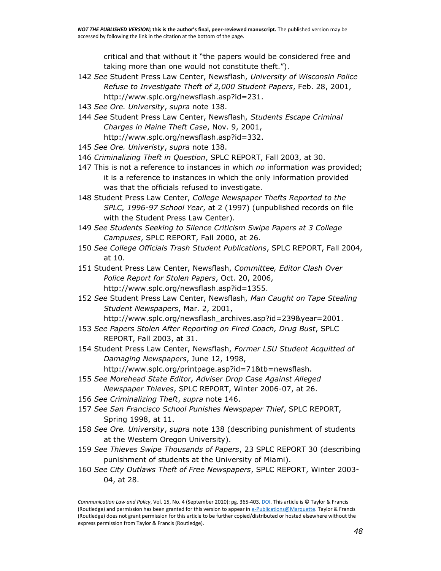critical and that without it "the papers would be considered free and taking more than one would not constitute theft.").

- 142 *See* Student Press Law Center, Newsflash, *University of Wisconsin Police Refuse to Investigate Theft of 2,000 Student Papers*, Feb. 28, 2001, http://www.splc.org/newsflash.asp?id=231.
- 143 *See Ore. University*, *supra* note 138.
- 144 *See* Student Press Law Center, Newsflash, *Students Escape Criminal Charges in Maine Theft Case*, Nov. 9, 2001,

http://www.splc.org/newsflash.asp?id=332.

- 145 *See Ore. Univeristy*, *supra* note 138.
- 146 *Criminalizing Theft in Question*, SPLC REPORT, Fall 2003, at 30.
- 147 This is not a reference to instances in which *no* information was provided; it is a reference to instances in which the only information provided was that the officials refused to investigate.
- 148 Student Press Law Center, *College Newspaper Thefts Reported to the SPLC, 1996-97 School Year*, at 2 (1997) (unpublished records on file with the Student Press Law Center).
- 149 *See Students Seeking to Silence Criticism Swipe Papers at 3 College Campuses*, SPLC REPORT, Fall 2000, at 26.
- 150 *See College Officials Trash Student Publications*, SPLC REPORT, Fall 2004, at 10.
- 151 Student Press Law Center, Newsflash, *Committee, Editor Clash Over Police Report for Stolen Papers*, Oct. 20, 2006, http://www.splc.org/newsflash.asp?id=1355.
- 152 *See* Student Press Law Center, Newsflash, *Man Caught on Tape Stealing Student Newspapers*, Mar. 2, 2001,

http://www.splc.org/newsflash\_archives.asp?id=239&year=2001.

- 153 *See Papers Stolen After Reporting on Fired Coach, Drug Bust*, SPLC REPORT, Fall 2003, at 31.
- 154 Student Press Law Center, Newsflash, *Former LSU Student Acquitted of Damaging Newspapers*, June 12, 1998,

http://www.splc.org/printpage.asp?id=71&tb=newsflash.

- 155 *See Morehead State Editor, Adviser Drop Case Against Alleged Newspaper Thieves*, SPLC REPORT, Winter 2006-07, at 26.
- 156 *See Criminalizing Theft*, *supra* note 146.
- 157 *See San Francisco School Punishes Newspaper Thief*, SPLC REPORT, Spring 1998, at 11.
- 158 *See Ore. University*, *supra* note 138 (describing punishment of students at the Western Oregon University).
- 159 *See Thieves Swipe Thousands of Papers*, 23 SPLC REPORT 30 (describing punishment of students at the University of Miami).
- 160 *See City Outlaws Theft of Free Newspapers*, SPLC REPORT, Winter 2003- 04, at 28.

*Communication Law and Policy*, Vol. 15, No. 4 (September 2010): pg. 365-403[. DOI.](http://dx.doi.org/10.1080/10811680.2010.512509) This article is © Taylor & Francis (Routledge) and permission has been granted for this version to appear i[n e-Publications@Marquette.](http://epublications.marquette.edu/) Taylor & Francis (Routledge) does not grant permission for this article to be further copied/distributed or hosted elsewhere without the express permission from Taylor & Francis (Routledge).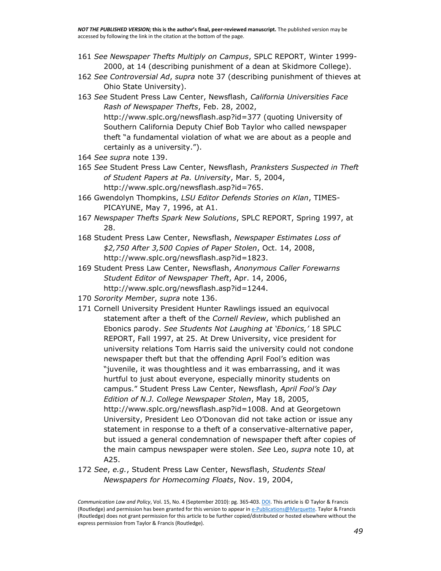- 161 *See Newspaper Thefts Multiply on Campus*, SPLC REPORT, Winter 1999- 2000, at 14 (describing punishment of a dean at Skidmore College).
- 162 *See Controversial Ad*, *supra* note 37 (describing punishment of thieves at Ohio State University).
- 163 *See* Student Press Law Center, Newsflash, *California Universities Face Rash of Newspaper Thefts*, Feb. 28, 2002,

http://www.splc.org/newsflash.asp?id=377 (quoting University of Southern California Deputy Chief Bob Taylor who called newspaper theft "a fundamental violation of what we are about as a people and certainly as a university.").

- 164 *See supra* note 139.
- 165 *See* Student Press Law Center, Newsflash, *Pranksters Suspected in Theft of Student Papers at Pa. University*, Mar. 5, 2004, http://www.splc.org/newsflash.asp?id=765.
- 166 Gwendolyn Thompkins, *LSU Editor Defends Stories on Klan*, TIMES-PICAYUNE, May 7, 1996, at A1.
- 167 *Newspaper Thefts Spark New Solutions*, SPLC REPORT, Spring 1997, at 28.
- 168 Student Press Law Center, Newsflash, *Newspaper Estimates Loss of \$2,750 After 3,500 Copies of Paper Stolen*, Oct. 14, 2008, http://www.splc.org/newsflash.asp?id=1823.
- 169 Student Press Law Center, Newsflash, *Anonymous Caller Forewarns Student Editor of Newspaper Theft*, Apr. 14, 2006, http://www.splc.org/newsflash.asp?id=1244.
- 170 *Sorority Member*, *supra* note 136.
- 171 Cornell University President Hunter Rawlings issued an equivocal statement after a theft of the *Cornell Review*, which published an Ebonics parody. *See Students Not Laughing at 'Ebonics,'* 18 SPLC REPORT, Fall 1997, at 25. At Drew University, vice president for university relations Tom Harris said the university could not condone newspaper theft but that the offending April Fool's edition was "juvenile, it was thoughtless and it was embarrassing, and it was hurtful to just about everyone, especially minority students on campus." Student Press Law Center, Newsflash, *April Fool's Day Edition of N.J. College Newspaper Stolen*, May 18, 2005, http://www.splc.org/newsflash.asp?id=1008. And at Georgetown University, President Leo O'Donovan did not take action or issue any statement in response to a theft of a conservative-alternative paper, but issued a general condemnation of newspaper theft after copies of the main campus newspaper were stolen. *See* Leo, *supra* note 10, at A25.
- 172 *See*, *e.g.*, Student Press Law Center, Newsflash, *Students Steal Newspapers for Homecoming Floats*, Nov. 19, 2004,

*Communication Law and Policy*, Vol. 15, No. 4 (September 2010): pg. 365-403[. DOI.](http://dx.doi.org/10.1080/10811680.2010.512509) This article is © Taylor & Francis (Routledge) and permission has been granted for this version to appear i[n e-Publications@Marquette.](http://epublications.marquette.edu/) Taylor & Francis (Routledge) does not grant permission for this article to be further copied/distributed or hosted elsewhere without the express permission from Taylor & Francis (Routledge).